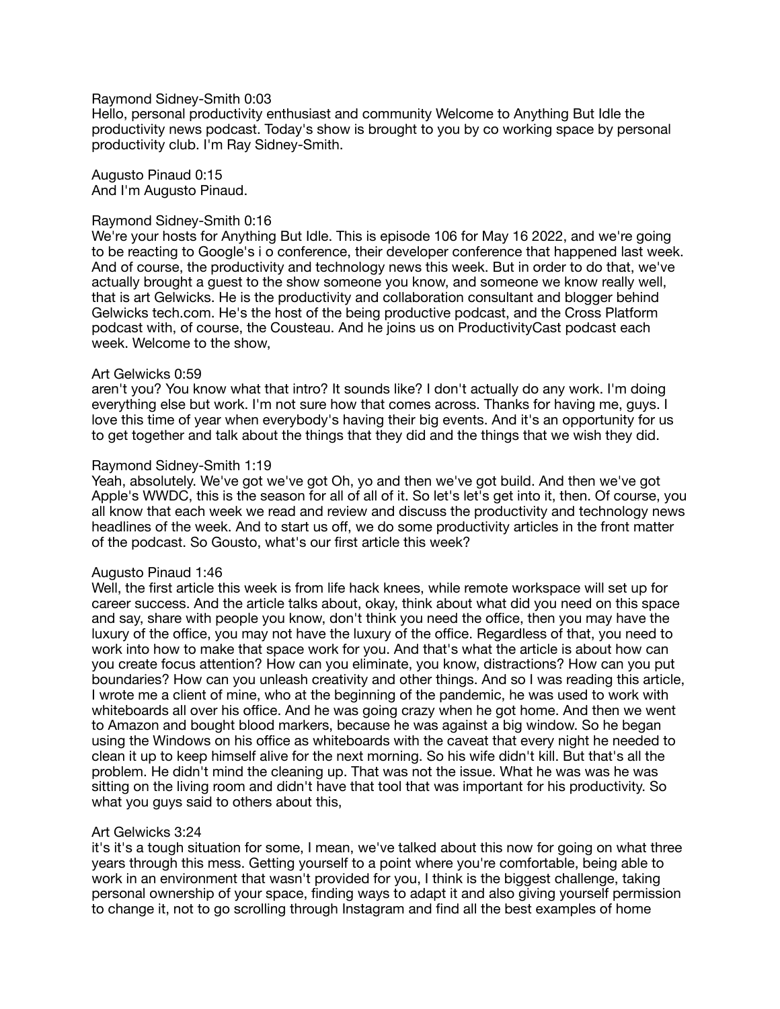## Raymond Sidney-Smith 0:03

Hello, personal productivity enthusiast and community Welcome to Anything But Idle the productivity news podcast. Today's show is brought to you by co working space by personal productivity club. I'm Ray Sidney-Smith.

Augusto Pinaud 0:15 And I'm Augusto Pinaud.

### Raymond Sidney-Smith 0:16

We're your hosts for Anything But Idle. This is episode 106 for May 16 2022, and we're going to be reacting to Google's i o conference, their developer conference that happened last week. And of course, the productivity and technology news this week. But in order to do that, we've actually brought a guest to the show someone you know, and someone we know really well, that is art Gelwicks. He is the productivity and collaboration consultant and blogger behind Gelwicks tech.com. He's the host of the being productive podcast, and the Cross Platform podcast with, of course, the Cousteau. And he joins us on ProductivityCast podcast each week. Welcome to the show,

#### Art Gelwicks 0:59

aren't you? You know what that intro? It sounds like? I don't actually do any work. I'm doing everything else but work. I'm not sure how that comes across. Thanks for having me, guys. I love this time of year when everybody's having their big events. And it's an opportunity for us to get together and talk about the things that they did and the things that we wish they did.

### Raymond Sidney-Smith 1:19

Yeah, absolutely. We've got we've got Oh, yo and then we've got build. And then we've got Apple's WWDC, this is the season for all of all of it. So let's let's get into it, then. Of course, you all know that each week we read and review and discuss the productivity and technology news headlines of the week. And to start us off, we do some productivity articles in the front matter of the podcast. So Gousto, what's our first article this week?

#### Augusto Pinaud 1:46

Well, the first article this week is from life hack knees, while remote workspace will set up for career success. And the article talks about, okay, think about what did you need on this space and say, share with people you know, don't think you need the office, then you may have the luxury of the office, you may not have the luxury of the office. Regardless of that, you need to work into how to make that space work for you. And that's what the article is about how can you create focus attention? How can you eliminate, you know, distractions? How can you put boundaries? How can you unleash creativity and other things. And so I was reading this article, I wrote me a client of mine, who at the beginning of the pandemic, he was used to work with whiteboards all over his office. And he was going crazy when he got home. And then we went to Amazon and bought blood markers, because he was against a big window. So he began using the Windows on his office as whiteboards with the caveat that every night he needed to clean it up to keep himself alive for the next morning. So his wife didn't kill. But that's all the problem. He didn't mind the cleaning up. That was not the issue. What he was was he was sitting on the living room and didn't have that tool that was important for his productivity. So what you guys said to others about this,

# Art Gelwicks 3:24

it's it's a tough situation for some, I mean, we've talked about this now for going on what three years through this mess. Getting yourself to a point where you're comfortable, being able to work in an environment that wasn't provided for you, I think is the biggest challenge, taking personal ownership of your space, finding ways to adapt it and also giving yourself permission to change it, not to go scrolling through Instagram and find all the best examples of home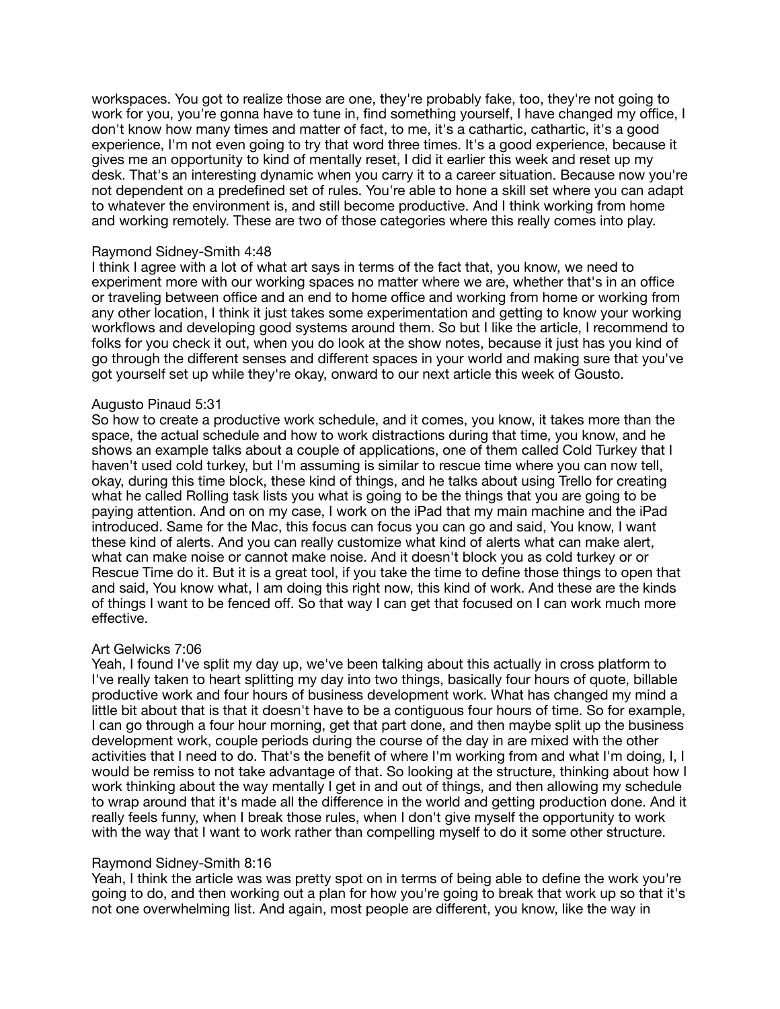workspaces. You got to realize those are one, they're probably fake, too, they're not going to work for you, you're gonna have to tune in, find something yourself. I have changed my office, I don't know how many times and matter of fact, to me, it's a cathartic, cathartic, it's a good experience, I'm not even going to try that word three times. It's a good experience, because it gives me an opportunity to kind of mentally reset, I did it earlier this week and reset up my desk. That's an interesting dynamic when you carry it to a career situation. Because now you're not dependent on a predefined set of rules. You're able to hone a skill set where you can adapt to whatever the environment is, and still become productive. And I think working from home and working remotely. These are two of those categories where this really comes into play.

### Raymond Sidney-Smith 4:48

I think I agree with a lot of what art says in terms of the fact that, you know, we need to experiment more with our working spaces no matter where we are, whether that's in an office or traveling between office and an end to home office and working from home or working from any other location, I think it just takes some experimentation and getting to know your working workflows and developing good systems around them. So but I like the article, I recommend to folks for you check it out, when you do look at the show notes, because it just has you kind of go through the different senses and different spaces in your world and making sure that you've got yourself set up while they're okay, onward to our next article this week of Gousto.

### Augusto Pinaud 5:31

So how to create a productive work schedule, and it comes, you know, it takes more than the space, the actual schedule and how to work distractions during that time, you know, and he shows an example talks about a couple of applications, one of them called Cold Turkey that I haven't used cold turkey, but I'm assuming is similar to rescue time where you can now tell, okay, during this time block, these kind of things, and he talks about using Trello for creating what he called Rolling task lists you what is going to be the things that you are going to be paying attention. And on on my case, I work on the iPad that my main machine and the iPad introduced. Same for the Mac, this focus can focus you can go and said, You know, I want these kind of alerts. And you can really customize what kind of alerts what can make alert, what can make noise or cannot make noise. And it doesn't block you as cold turkey or or Rescue Time do it. But it is a great tool, if you take the time to define those things to open that and said, You know what, I am doing this right now, this kind of work. And these are the kinds of things I want to be fenced off. So that way I can get that focused on I can work much more effective.

# Art Gelwicks 7:06

Yeah, I found I've split my day up, we've been talking about this actually in cross platform to I've really taken to heart splitting my day into two things, basically four hours of quote, billable productive work and four hours of business development work. What has changed my mind a little bit about that is that it doesn't have to be a contiguous four hours of time. So for example, I can go through a four hour morning, get that part done, and then maybe split up the business development work, couple periods during the course of the day in are mixed with the other activities that I need to do. That's the benefit of where I'm working from and what I'm doing, I, I would be remiss to not take advantage of that. So looking at the structure, thinking about how I work thinking about the way mentally I get in and out of things, and then allowing my schedule to wrap around that it's made all the difference in the world and getting production done. And it really feels funny, when I break those rules, when I don't give myself the opportunity to work with the way that I want to work rather than compelling myself to do it some other structure.

# Raymond Sidney-Smith 8:16

Yeah, I think the article was was pretty spot on in terms of being able to define the work you're going to do, and then working out a plan for how you're going to break that work up so that it's not one overwhelming list. And again, most people are different, you know, like the way in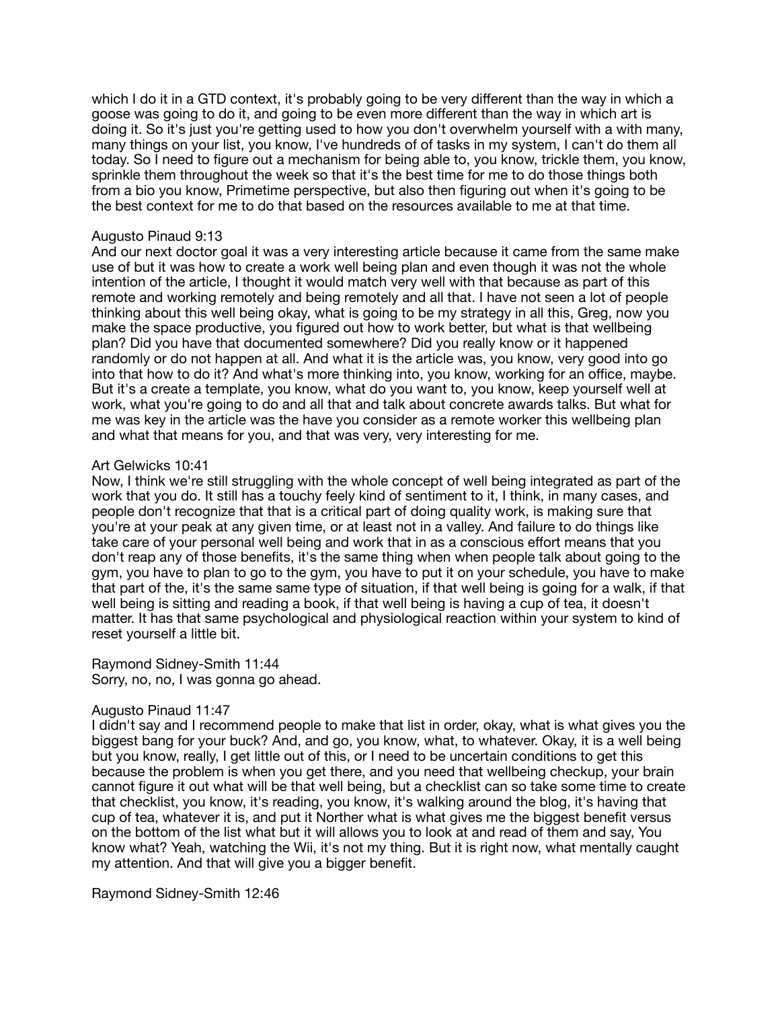which I do it in a GTD context, it's probably going to be very different than the way in which a goose was going to do it, and going to be even more different than the way in which art is doing it. So it's just you're getting used to how you don't overwhelm yourself with a with many, many things on your list, you know, I've hundreds of of tasks in my system, I can't do them all today. So I need to figure out a mechanism for being able to, you know, trickle them, you know, sprinkle them throughout the week so that it's the best time for me to do those things both from a bio you know, Primetime perspective, but also then figuring out when it's going to be the best context for me to do that based on the resources available to me at that time.

## Augusto Pinaud 9:13

And our next doctor goal it was a very interesting article because it came from the same make use of but it was how to create a work well being plan and even though it was not the whole intention of the article, I thought it would match very well with that because as part of this remote and working remotely and being remotely and all that. I have not seen a lot of people thinking about this well being okay, what is going to be my strategy in all this, Greg, now you make the space productive, you figured out how to work better, but what is that wellbeing plan? Did you have that documented somewhere? Did you really know or it happened randomly or do not happen at all. And what it is the article was, you know, very good into go into that how to do it? And what's more thinking into, you know, working for an office, maybe. But it's a create a template, you know, what do you want to, you know, keep yourself well at work, what you're going to do and all that and talk about concrete awards talks. But what for me was key in the article was the have you consider as a remote worker this wellbeing plan and what that means for you, and that was very, very interesting for me.

### Art Gelwicks 10:41

Now, I think we're still struggling with the whole concept of well being integrated as part of the work that you do. It still has a touchy feely kind of sentiment to it, I think, in many cases, and people don't recognize that that is a critical part of doing quality work, is making sure that you're at your peak at any given time, or at least not in a valley. And failure to do things like take care of your personal well being and work that in as a conscious effort means that you don't reap any of those benefits, it's the same thing when when people talk about going to the gym, you have to plan to go to the gym, you have to put it on your schedule, you have to make that part of the, it's the same same type of situation, if that well being is going for a walk, if that well being is sitting and reading a book, if that well being is having a cup of tea, it doesn't matter. It has that same psychological and physiological reaction within your system to kind of reset yourself a little bit.

Raymond Sidney-Smith 11:44 Sorry, no, no, I was gonna go ahead.

# Augusto Pinaud 11:47

I didn't say and I recommend people to make that list in order, okay, what is what gives you the biggest bang for your buck? And, and go, you know, what, to whatever. Okay, it is a well being but you know, really, I get little out of this, or I need to be uncertain conditions to get this because the problem is when you get there, and you need that wellbeing checkup, your brain cannot figure it out what will be that well being, but a checklist can so take some time to create that checklist, you know, it's reading, you know, it's walking around the blog, it's having that cup of tea, whatever it is, and put it Norther what is what gives me the biggest benefit versus on the bottom of the list what but it will allows you to look at and read of them and say, You know what? Yeah, watching the Wii, it's not my thing. But it is right now, what mentally caught my attention. And that will give you a bigger benefit.

Raymond Sidney-Smith 12:46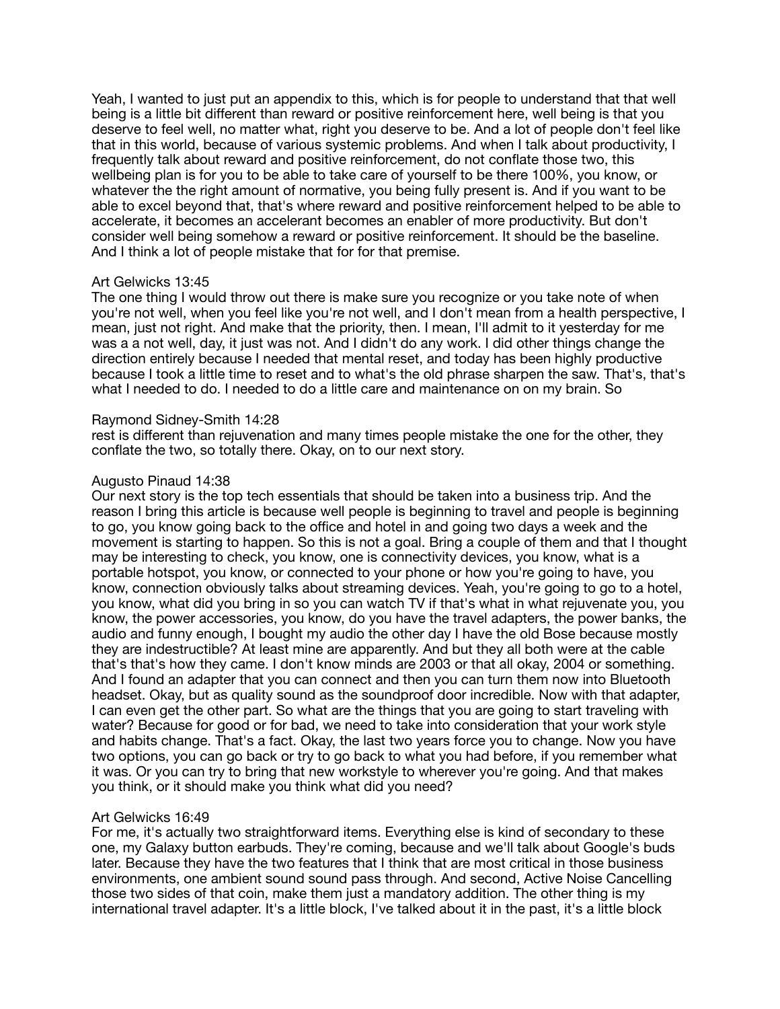Yeah, I wanted to just put an appendix to this, which is for people to understand that that well being is a little bit different than reward or positive reinforcement here, well being is that you deserve to feel well, no matter what, right you deserve to be. And a lot of people don't feel like that in this world, because of various systemic problems. And when I talk about productivity, I frequently talk about reward and positive reinforcement, do not conflate those two, this wellbeing plan is for you to be able to take care of yourself to be there 100%, you know, or whatever the the right amount of normative, you being fully present is. And if you want to be able to excel beyond that, that's where reward and positive reinforcement helped to be able to accelerate, it becomes an accelerant becomes an enabler of more productivity. But don't consider well being somehow a reward or positive reinforcement. It should be the baseline. And I think a lot of people mistake that for for that premise.

### Art Gelwicks 13:45

The one thing I would throw out there is make sure you recognize or you take note of when you're not well, when you feel like you're not well, and I don't mean from a health perspective, I mean, just not right. And make that the priority, then. I mean, I'll admit to it yesterday for me was a a not well, day, it just was not. And I didn't do any work. I did other things change the direction entirely because I needed that mental reset, and today has been highly productive because I took a little time to reset and to what's the old phrase sharpen the saw. That's, that's what I needed to do. I needed to do a little care and maintenance on on my brain. So

### Raymond Sidney-Smith 14:28

rest is different than rejuvenation and many times people mistake the one for the other, they conflate the two, so totally there. Okay, on to our next story.

### Augusto Pinaud 14:38

Our next story is the top tech essentials that should be taken into a business trip. And the reason I bring this article is because well people is beginning to travel and people is beginning to go, you know going back to the office and hotel in and going two days a week and the movement is starting to happen. So this is not a goal. Bring a couple of them and that I thought may be interesting to check, you know, one is connectivity devices, you know, what is a portable hotspot, you know, or connected to your phone or how you're going to have, you know, connection obviously talks about streaming devices. Yeah, you're going to go to a hotel, you know, what did you bring in so you can watch TV if that's what in what rejuvenate you, you know, the power accessories, you know, do you have the travel adapters, the power banks, the audio and funny enough, I bought my audio the other day I have the old Bose because mostly they are indestructible? At least mine are apparently. And but they all both were at the cable that's that's how they came. I don't know minds are 2003 or that all okay, 2004 or something. And I found an adapter that you can connect and then you can turn them now into Bluetooth headset. Okay, but as quality sound as the soundproof door incredible. Now with that adapter, I can even get the other part. So what are the things that you are going to start traveling with water? Because for good or for bad, we need to take into consideration that your work style and habits change. That's a fact. Okay, the last two years force you to change. Now you have two options, you can go back or try to go back to what you had before, if you remember what it was. Or you can try to bring that new workstyle to wherever you're going. And that makes you think, or it should make you think what did you need?

# Art Gelwicks 16:49

For me, it's actually two straightforward items. Everything else is kind of secondary to these one, my Galaxy button earbuds. They're coming, because and we'll talk about Google's buds later. Because they have the two features that I think that are most critical in those business environments, one ambient sound sound pass through. And second, Active Noise Cancelling those two sides of that coin, make them just a mandatory addition. The other thing is my international travel adapter. It's a little block, I've talked about it in the past, it's a little block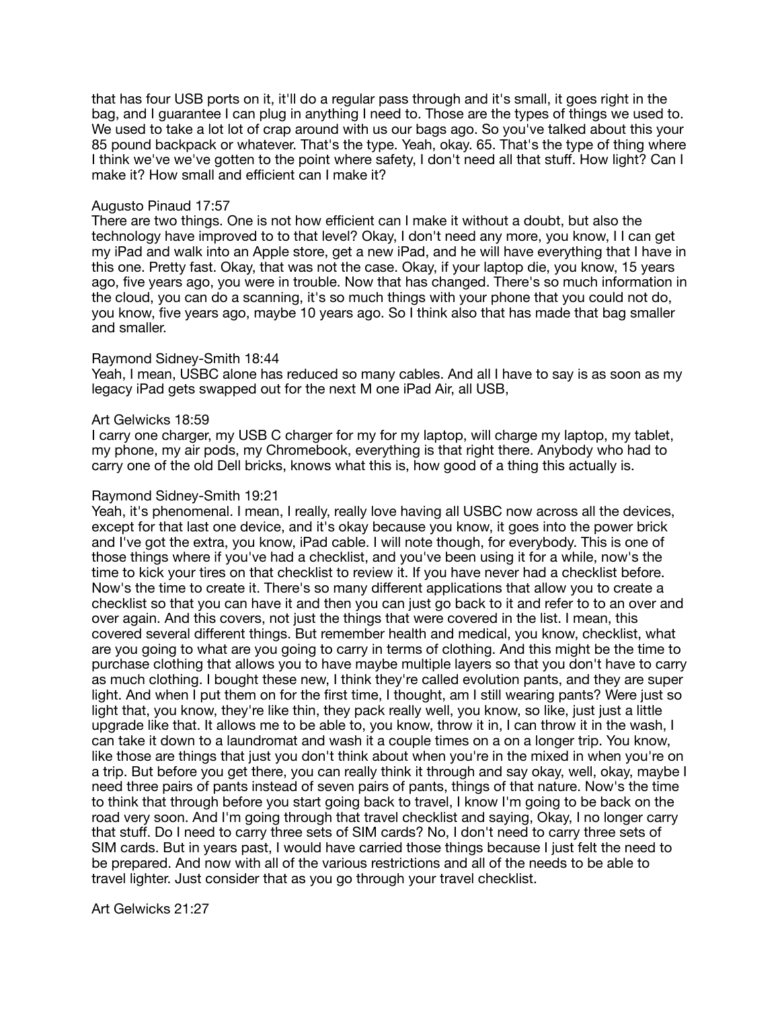that has four USB ports on it, it'll do a regular pass through and it's small, it goes right in the bag, and I guarantee I can plug in anything I need to. Those are the types of things we used to. We used to take a lot lot of crap around with us our bags ago. So you've talked about this your 85 pound backpack or whatever. That's the type. Yeah, okay. 65. That's the type of thing where I think we've we've gotten to the point where safety, I don't need all that stuff. How light? Can I make it? How small and efficient can I make it?

## Augusto Pinaud 17:57

There are two things. One is not how efficient can I make it without a doubt, but also the technology have improved to to that level? Okay, I don't need any more, you know, I I can get my iPad and walk into an Apple store, get a new iPad, and he will have everything that I have in this one. Pretty fast. Okay, that was not the case. Okay, if your laptop die, you know, 15 years ago, five years ago, you were in trouble. Now that has changed. There's so much information in the cloud, you can do a scanning, it's so much things with your phone that you could not do, you know, five years ago, maybe 10 years ago. So I think also that has made that bag smaller and smaller.

# Raymond Sidney-Smith 18:44

Yeah, I mean, USBC alone has reduced so many cables. And all I have to say is as soon as my legacy iPad gets swapped out for the next M one iPad Air, all USB,

#### Art Gelwicks 18:59

I carry one charger, my USB C charger for my for my laptop, will charge my laptop, my tablet, my phone, my air pods, my Chromebook, everything is that right there. Anybody who had to carry one of the old Dell bricks, knows what this is, how good of a thing this actually is.

### Raymond Sidney-Smith 19:21

Yeah, it's phenomenal. I mean, I really, really love having all USBC now across all the devices, except for that last one device, and it's okay because you know, it goes into the power brick and I've got the extra, you know, iPad cable. I will note though, for everybody. This is one of those things where if you've had a checklist, and you've been using it for a while, now's the time to kick your tires on that checklist to review it. If you have never had a checklist before. Now's the time to create it. There's so many different applications that allow you to create a checklist so that you can have it and then you can just go back to it and refer to to an over and over again. And this covers, not just the things that were covered in the list. I mean, this covered several different things. But remember health and medical, you know, checklist, what are you going to what are you going to carry in terms of clothing. And this might be the time to purchase clothing that allows you to have maybe multiple layers so that you don't have to carry as much clothing. I bought these new, I think they're called evolution pants, and they are super light. And when I put them on for the first time, I thought, am I still wearing pants? Were just so light that, you know, they're like thin, they pack really well, you know, so like, just just a little upgrade like that. It allows me to be able to, you know, throw it in, I can throw it in the wash, I can take it down to a laundromat and wash it a couple times on a on a longer trip. You know, like those are things that just you don't think about when you're in the mixed in when you're on a trip. But before you get there, you can really think it through and say okay, well, okay, maybe I need three pairs of pants instead of seven pairs of pants, things of that nature. Now's the time to think that through before you start going back to travel, I know I'm going to be back on the road very soon. And I'm going through that travel checklist and saying, Okay, I no longer carry that stuff. Do I need to carry three sets of SIM cards? No, I don't need to carry three sets of SIM cards. But in years past, I would have carried those things because I just felt the need to be prepared. And now with all of the various restrictions and all of the needs to be able to travel lighter. Just consider that as you go through your travel checklist.

Art Gelwicks 21:27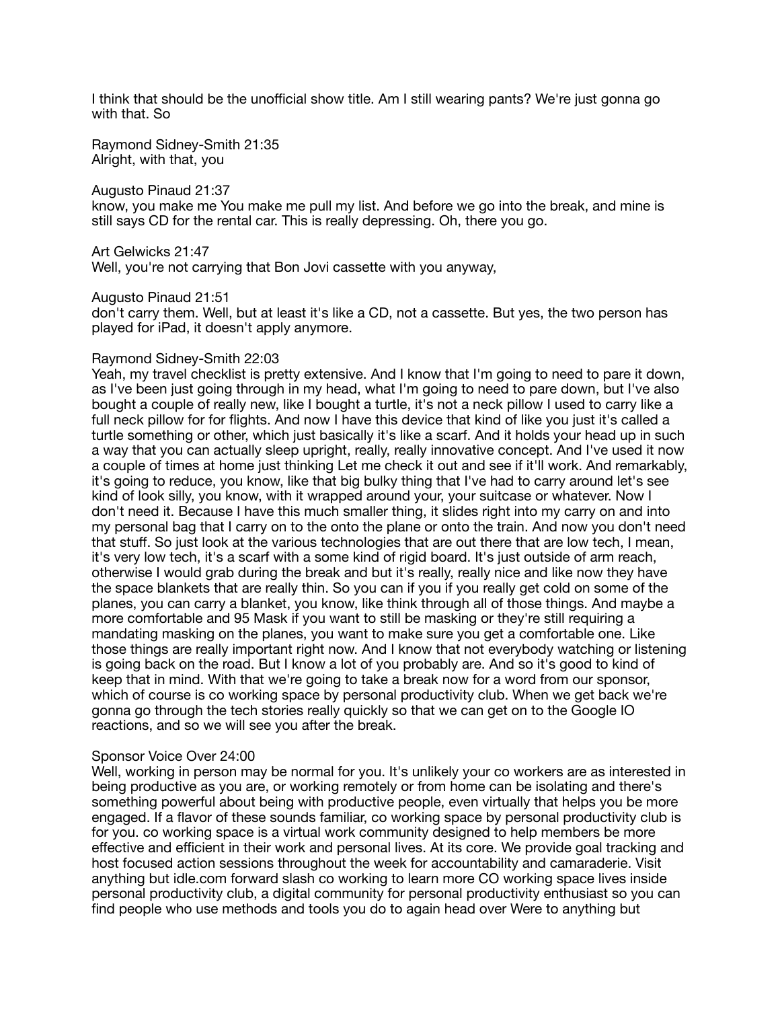I think that should be the unofficial show title. Am I still wearing pants? We're just gonna go with that. So

Raymond Sidney-Smith 21:35 Alright, with that, you

Augusto Pinaud 21:37

know, you make me You make me pull my list. And before we go into the break, and mine is still says CD for the rental car. This is really depressing. Oh, there you go.

Art Gelwicks 21:47

Well, you're not carrying that Bon Jovi cassette with you anyway,

Augusto Pinaud 21:51

don't carry them. Well, but at least it's like a CD, not a cassette. But yes, the two person has played for iPad, it doesn't apply anymore.

#### Raymond Sidney-Smith 22:03

Yeah, my travel checklist is pretty extensive. And I know that I'm going to need to pare it down, as I've been just going through in my head, what I'm going to need to pare down, but I've also bought a couple of really new, like I bought a turtle, it's not a neck pillow I used to carry like a full neck pillow for for flights. And now I have this device that kind of like you just it's called a turtle something or other, which just basically it's like a scarf. And it holds your head up in such a way that you can actually sleep upright, really, really innovative concept. And I've used it now a couple of times at home just thinking Let me check it out and see if it'll work. And remarkably, it's going to reduce, you know, like that big bulky thing that I've had to carry around let's see kind of look silly, you know, with it wrapped around your, your suitcase or whatever. Now I don't need it. Because I have this much smaller thing, it slides right into my carry on and into my personal bag that I carry on to the onto the plane or onto the train. And now you don't need that stuff. So just look at the various technologies that are out there that are low tech, I mean, it's very low tech, it's a scarf with a some kind of rigid board. It's just outside of arm reach, otherwise I would grab during the break and but it's really, really nice and like now they have the space blankets that are really thin. So you can if you if you really get cold on some of the planes, you can carry a blanket, you know, like think through all of those things. And maybe a more comfortable and 95 Mask if you want to still be masking or they're still requiring a mandating masking on the planes, you want to make sure you get a comfortable one. Like those things are really important right now. And I know that not everybody watching or listening is going back on the road. But I know a lot of you probably are. And so it's good to kind of keep that in mind. With that we're going to take a break now for a word from our sponsor, which of course is co working space by personal productivity club. When we get back we're gonna go through the tech stories really quickly so that we can get on to the Google IO reactions, and so we will see you after the break.

#### Sponsor Voice Over 24:00

Well, working in person may be normal for you. It's unlikely your co workers are as interested in being productive as you are, or working remotely or from home can be isolating and there's something powerful about being with productive people, even virtually that helps you be more engaged. If a flavor of these sounds familiar, co working space by personal productivity club is for you. co working space is a virtual work community designed to help members be more effective and efficient in their work and personal lives. At its core. We provide goal tracking and host focused action sessions throughout the week for accountability and camaraderie. Visit anything but idle.com forward slash co working to learn more CO working space lives inside personal productivity club, a digital community for personal productivity enthusiast so you can find people who use methods and tools you do to again head over Were to anything but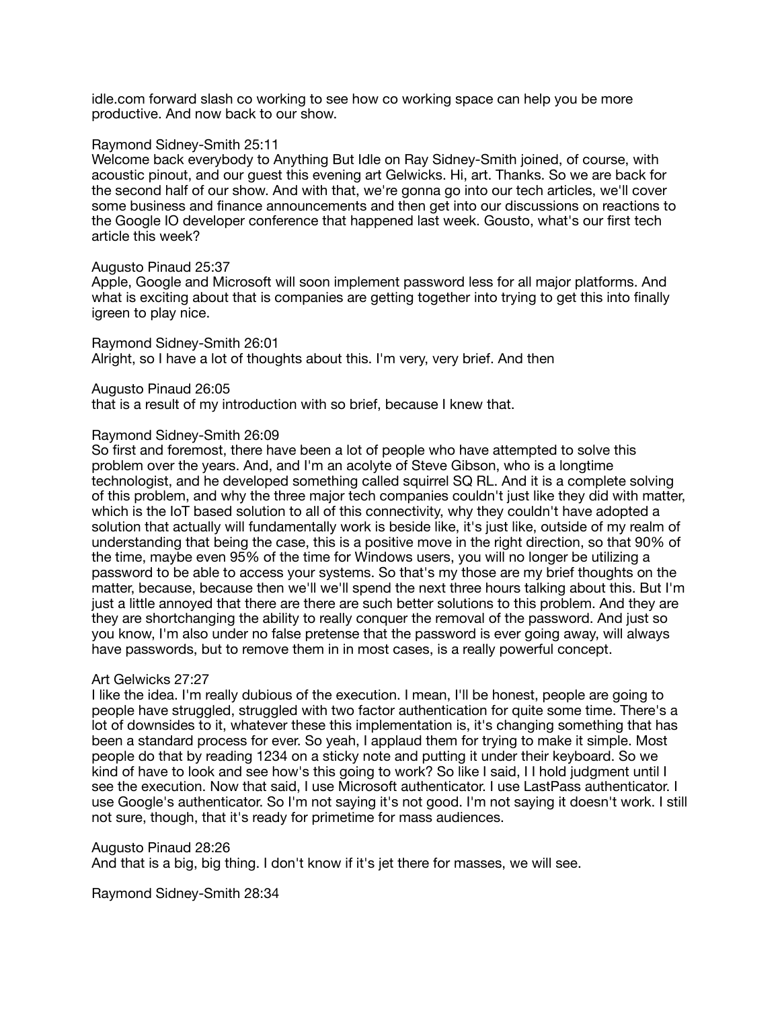idle.com forward slash co working to see how co working space can help you be more productive. And now back to our show.

### Raymond Sidney-Smith 25:11

Welcome back everybody to Anything But Idle on Ray Sidney-Smith joined, of course, with acoustic pinout, and our guest this evening art Gelwicks. Hi, art. Thanks. So we are back for the second half of our show. And with that, we're gonna go into our tech articles, we'll cover some business and finance announcements and then get into our discussions on reactions to the Google IO developer conference that happened last week. Gousto, what's our first tech article this week?

### Augusto Pinaud 25:37

Apple, Google and Microsoft will soon implement password less for all major platforms. And what is exciting about that is companies are getting together into trying to get this into finally igreen to play nice.

Raymond Sidney-Smith 26:01 Alright, so I have a lot of thoughts about this. I'm very, very brief. And then

Augusto Pinaud 26:05

that is a result of my introduction with so brief, because I knew that.

# Raymond Sidney-Smith 26:09

So first and foremost, there have been a lot of people who have attempted to solve this problem over the years. And, and I'm an acolyte of Steve Gibson, who is a longtime technologist, and he developed something called squirrel SQ RL. And it is a complete solving of this problem, and why the three major tech companies couldn't just like they did with matter, which is the IoT based solution to all of this connectivity, why they couldn't have adopted a solution that actually will fundamentally work is beside like, it's just like, outside of my realm of understanding that being the case, this is a positive move in the right direction, so that 90% of the time, maybe even 95% of the time for Windows users, you will no longer be utilizing a password to be able to access your systems. So that's my those are my brief thoughts on the matter, because, because then we'll we'll spend the next three hours talking about this. But I'm just a little annoyed that there are there are such better solutions to this problem. And they are they are shortchanging the ability to really conquer the removal of the password. And just so you know, I'm also under no false pretense that the password is ever going away, will always have passwords, but to remove them in in most cases, is a really powerful concept.

# Art Gelwicks 27:27

I like the idea. I'm really dubious of the execution. I mean, I'll be honest, people are going to people have struggled, struggled with two factor authentication for quite some time. There's a lot of downsides to it, whatever these this implementation is, it's changing something that has been a standard process for ever. So yeah, I applaud them for trying to make it simple. Most people do that by reading 1234 on a sticky note and putting it under their keyboard. So we kind of have to look and see how's this going to work? So like I said, I I hold judgment until I see the execution. Now that said, I use Microsoft authenticator. I use LastPass authenticator. I use Google's authenticator. So I'm not saying it's not good. I'm not saying it doesn't work. I still not sure, though, that it's ready for primetime for mass audiences.

Augusto Pinaud 28:26

And that is a big, big thing. I don't know if it's jet there for masses, we will see.

Raymond Sidney-Smith 28:34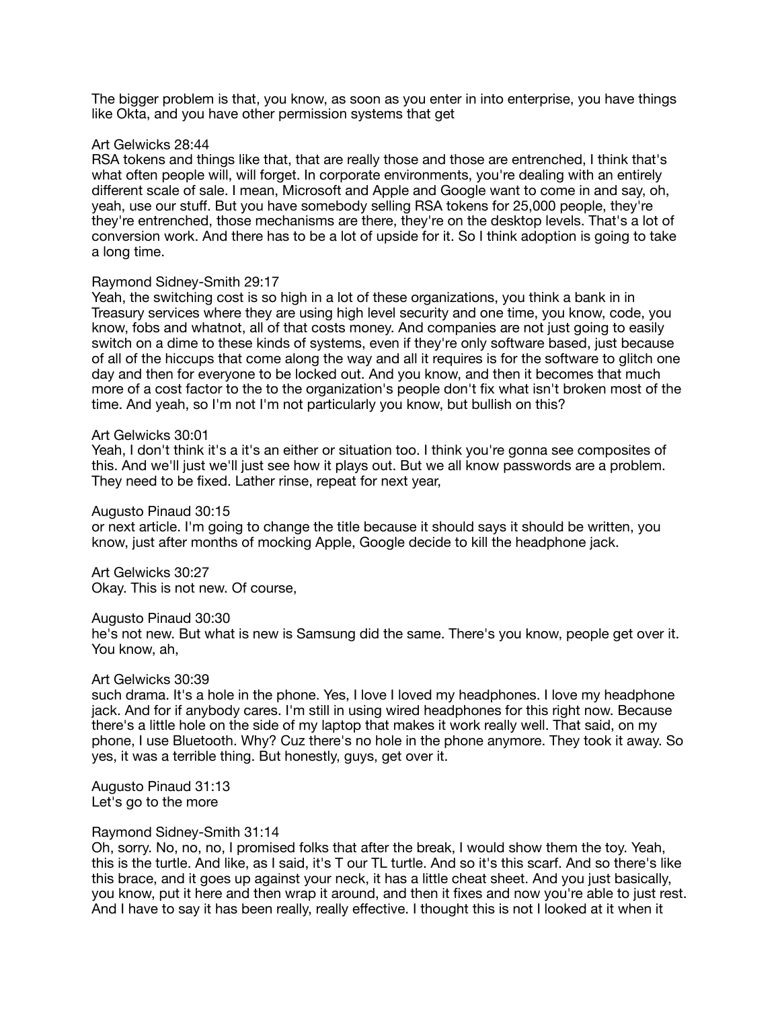The bigger problem is that, you know, as soon as you enter in into enterprise, you have things like Okta, and you have other permission systems that get

### Art Gelwicks 28:44

RSA tokens and things like that, that are really those and those are entrenched, I think that's what often people will, will forget. In corporate environments, you're dealing with an entirely different scale of sale. I mean, Microsoft and Apple and Google want to come in and say, oh, yeah, use our stuff. But you have somebody selling RSA tokens for 25,000 people, they're they're entrenched, those mechanisms are there, they're on the desktop levels. That's a lot of conversion work. And there has to be a lot of upside for it. So I think adoption is going to take a long time.

### Raymond Sidney-Smith 29:17

Yeah, the switching cost is so high in a lot of these organizations, you think a bank in in Treasury services where they are using high level security and one time, you know, code, you know, fobs and whatnot, all of that costs money. And companies are not just going to easily switch on a dime to these kinds of systems, even if they're only software based, just because of all of the hiccups that come along the way and all it requires is for the software to glitch one day and then for everyone to be locked out. And you know, and then it becomes that much more of a cost factor to the to the organization's people don't fix what isn't broken most of the time. And yeah, so I'm not I'm not particularly you know, but bullish on this?

### Art Gelwicks 30:01

Yeah, I don't think it's a it's an either or situation too. I think you're gonna see composites of this. And we'll just we'll just see how it plays out. But we all know passwords are a problem. They need to be fixed. Lather rinse, repeat for next year,

### Augusto Pinaud 30:15

or next article. I'm going to change the title because it should says it should be written, you know, just after months of mocking Apple, Google decide to kill the headphone jack.

Art Gelwicks 30:27 Okay. This is not new. Of course,

#### Augusto Pinaud 30:30

he's not new. But what is new is Samsung did the same. There's you know, people get over it. You know, ah,

# Art Gelwicks 30:39

such drama. It's a hole in the phone. Yes, I love I loved my headphones. I love my headphone jack. And for if anybody cares. I'm still in using wired headphones for this right now. Because there's a little hole on the side of my laptop that makes it work really well. That said, on my phone, I use Bluetooth. Why? Cuz there's no hole in the phone anymore. They took it away. So yes, it was a terrible thing. But honestly, guys, get over it.

Augusto Pinaud 31:13 Let's go to the more

#### Raymond Sidney-Smith 31:14

Oh, sorry. No, no, no, I promised folks that after the break, I would show them the toy. Yeah, this is the turtle. And like, as I said, it's T our TL turtle. And so it's this scarf. And so there's like this brace, and it goes up against your neck, it has a little cheat sheet. And you just basically, you know, put it here and then wrap it around, and then it fixes and now you're able to just rest. And I have to say it has been really, really effective. I thought this is not I looked at it when it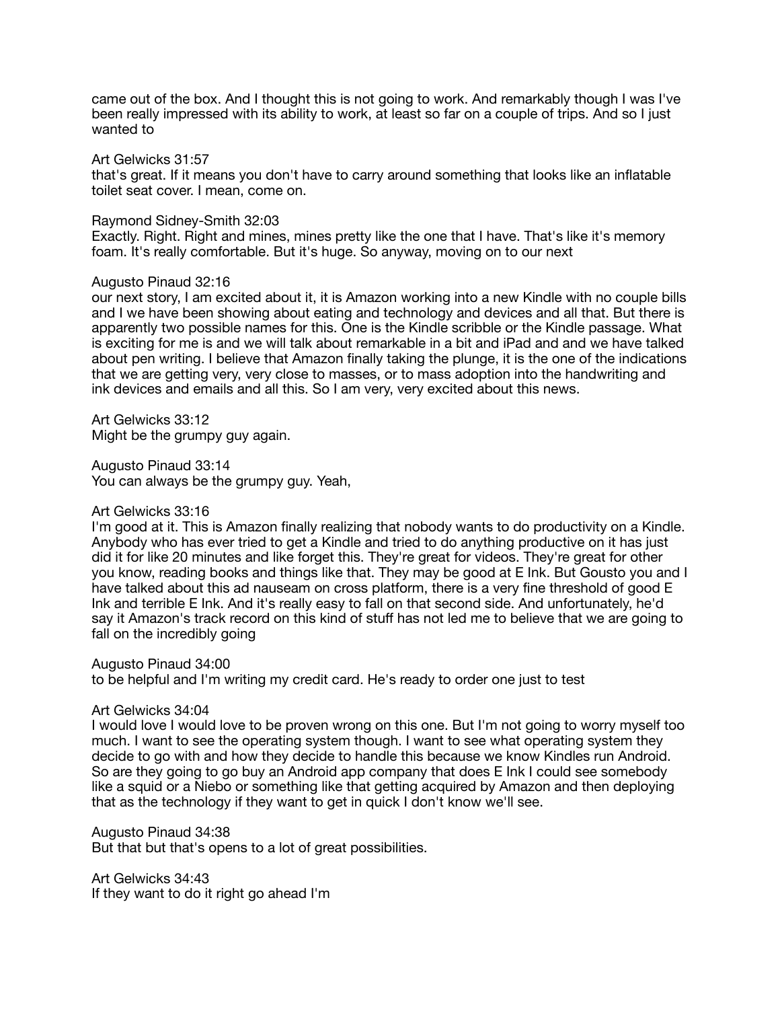came out of the box. And I thought this is not going to work. And remarkably though I was I've been really impressed with its ability to work, at least so far on a couple of trips. And so I just wanted to

#### Art Gelwicks 31:57

that's great. If it means you don't have to carry around something that looks like an inflatable toilet seat cover. I mean, come on.

### Raymond Sidney-Smith 32:03

Exactly. Right. Right and mines, mines pretty like the one that I have. That's like it's memory foam. It's really comfortable. But it's huge. So anyway, moving on to our next

## Augusto Pinaud 32:16

our next story, I am excited about it, it is Amazon working into a new Kindle with no couple bills and I we have been showing about eating and technology and devices and all that. But there is apparently two possible names for this. One is the Kindle scribble or the Kindle passage. What is exciting for me is and we will talk about remarkable in a bit and iPad and and we have talked about pen writing. I believe that Amazon finally taking the plunge, it is the one of the indications that we are getting very, very close to masses, or to mass adoption into the handwriting and ink devices and emails and all this. So I am very, very excited about this news.

Art Gelwicks 33:12 Might be the grumpy guy again.

Augusto Pinaud 33:14 You can always be the grumpy guy. Yeah,

## Art Gelwicks 33:16

I'm good at it. This is Amazon finally realizing that nobody wants to do productivity on a Kindle. Anybody who has ever tried to get a Kindle and tried to do anything productive on it has just did it for like 20 minutes and like forget this. They're great for videos. They're great for other you know, reading books and things like that. They may be good at E Ink. But Gousto you and I have talked about this ad nauseam on cross platform, there is a very fine threshold of good E Ink and terrible E Ink. And it's really easy to fall on that second side. And unfortunately, he'd say it Amazon's track record on this kind of stuff has not led me to believe that we are going to fall on the incredibly going

Augusto Pinaud 34:00

to be helpful and I'm writing my credit card. He's ready to order one just to test

#### Art Gelwicks 34:04

I would love I would love to be proven wrong on this one. But I'm not going to worry myself too much. I want to see the operating system though. I want to see what operating system they decide to go with and how they decide to handle this because we know Kindles run Android. So are they going to go buy an Android app company that does E Ink I could see somebody like a squid or a Niebo or something like that getting acquired by Amazon and then deploying that as the technology if they want to get in quick I don't know we'll see.

# Augusto Pinaud 34:38

But that but that's opens to a lot of great possibilities.

Art Gelwicks 34:43 If they want to do it right go ahead I'm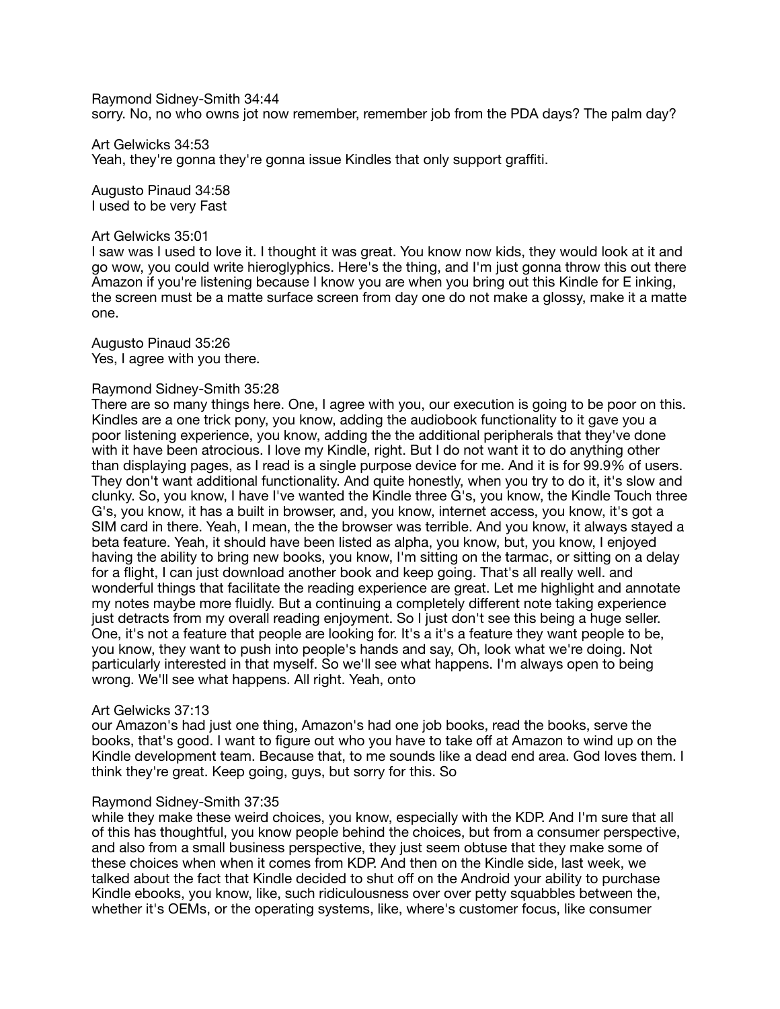Raymond Sidney-Smith 34:44 sorry. No, no who owns jot now remember, remember job from the PDA days? The palm day?

Art Gelwicks 34:53 Yeah, they're gonna they're gonna issue Kindles that only support graffiti.

Augusto Pinaud 34:58 I used to be very Fast

#### Art Gelwicks 35:01

I saw was I used to love it. I thought it was great. You know now kids, they would look at it and go wow, you could write hieroglyphics. Here's the thing, and I'm just gonna throw this out there Amazon if you're listening because I know you are when you bring out this Kindle for E inking, the screen must be a matte surface screen from day one do not make a glossy, make it a matte one.

Augusto Pinaud 35:26 Yes, I agree with you there.

#### Raymond Sidney-Smith 35:28

There are so many things here. One, I agree with you, our execution is going to be poor on this. Kindles are a one trick pony, you know, adding the audiobook functionality to it gave you a poor listening experience, you know, adding the the additional peripherals that they've done with it have been atrocious. I love my Kindle, right. But I do not want it to do anything other than displaying pages, as I read is a single purpose device for me. And it is for 99.9% of users. They don't want additional functionality. And quite honestly, when you try to do it, it's slow and clunky. So, you know, I have I've wanted the Kindle three G's, you know, the Kindle Touch three G's, you know, it has a built in browser, and, you know, internet access, you know, it's got a SIM card in there. Yeah, I mean, the the browser was terrible. And you know, it always stayed a beta feature. Yeah, it should have been listed as alpha, you know, but, you know, I enjoyed having the ability to bring new books, you know, I'm sitting on the tarmac, or sitting on a delay for a flight, I can just download another book and keep going. That's all really well. and wonderful things that facilitate the reading experience are great. Let me highlight and annotate my notes maybe more fluidly. But a continuing a completely different note taking experience just detracts from my overall reading enjoyment. So I just don't see this being a huge seller. One, it's not a feature that people are looking for. It's a it's a feature they want people to be, you know, they want to push into people's hands and say, Oh, look what we're doing. Not particularly interested in that myself. So we'll see what happens. I'm always open to being wrong. We'll see what happens. All right. Yeah, onto

#### Art Gelwicks 37:13

our Amazon's had just one thing, Amazon's had one job books, read the books, serve the books, that's good. I want to figure out who you have to take off at Amazon to wind up on the Kindle development team. Because that, to me sounds like a dead end area. God loves them. I think they're great. Keep going, guys, but sorry for this. So

#### Raymond Sidney-Smith 37:35

while they make these weird choices, you know, especially with the KDP. And I'm sure that all of this has thoughtful, you know people behind the choices, but from a consumer perspective, and also from a small business perspective, they just seem obtuse that they make some of these choices when when it comes from KDP. And then on the Kindle side, last week, we talked about the fact that Kindle decided to shut off on the Android your ability to purchase Kindle ebooks, you know, like, such ridiculousness over over petty squabbles between the, whether it's OEMs, or the operating systems, like, where's customer focus, like consumer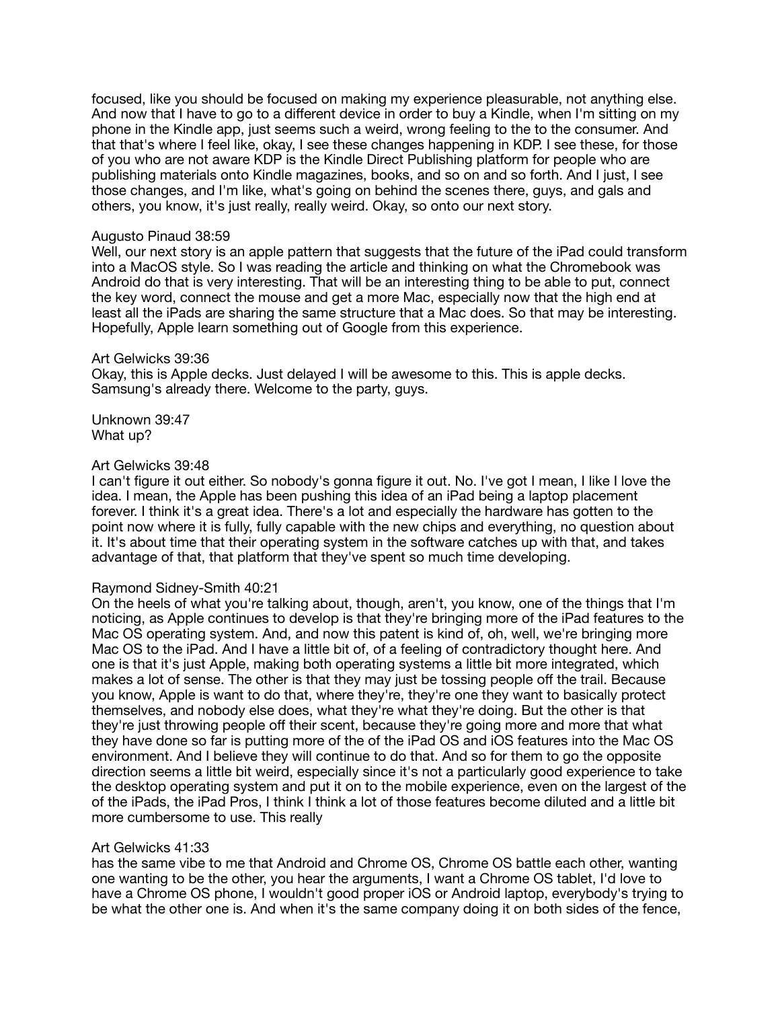focused, like you should be focused on making my experience pleasurable, not anything else. And now that I have to go to a different device in order to buy a Kindle, when I'm sitting on my phone in the Kindle app, just seems such a weird, wrong feeling to the to the consumer. And that that's where I feel like, okay, I see these changes happening in KDP. I see these, for those of you who are not aware KDP is the Kindle Direct Publishing platform for people who are publishing materials onto Kindle magazines, books, and so on and so forth. And I just, I see those changes, and I'm like, what's going on behind the scenes there, guys, and gals and others, you know, it's just really, really weird. Okay, so onto our next story.

### Augusto Pinaud 38:59

Well, our next story is an apple pattern that suggests that the future of the iPad could transform into a MacOS style. So I was reading the article and thinking on what the Chromebook was Android do that is very interesting. That will be an interesting thing to be able to put, connect the key word, connect the mouse and get a more Mac, especially now that the high end at least all the iPads are sharing the same structure that a Mac does. So that may be interesting. Hopefully, Apple learn something out of Google from this experience.

### Art Gelwicks 39:36

Okay, this is Apple decks. Just delayed I will be awesome to this. This is apple decks. Samsung's already there. Welcome to the party, guys.

Unknown 39:47 What up?

### Art Gelwicks 39:48

I can't figure it out either. So nobody's gonna figure it out. No. I've got I mean, I like I love the idea. I mean, the Apple has been pushing this idea of an iPad being a laptop placement forever. I think it's a great idea. There's a lot and especially the hardware has gotten to the point now where it is fully, fully capable with the new chips and everything, no question about it. It's about time that their operating system in the software catches up with that, and takes advantage of that, that platform that they've spent so much time developing.

# Raymond Sidney-Smith 40:21

On the heels of what you're talking about, though, aren't, you know, one of the things that I'm noticing, as Apple continues to develop is that they're bringing more of the iPad features to the Mac OS operating system. And, and now this patent is kind of, oh, well, we're bringing more Mac OS to the iPad. And I have a little bit of, of a feeling of contradictory thought here. And one is that it's just Apple, making both operating systems a little bit more integrated, which makes a lot of sense. The other is that they may just be tossing people off the trail. Because you know, Apple is want to do that, where they're, they're one they want to basically protect themselves, and nobody else does, what they're what they're doing. But the other is that they're just throwing people off their scent, because they're going more and more that what they have done so far is putting more of the of the iPad OS and iOS features into the Mac OS environment. And I believe they will continue to do that. And so for them to go the opposite direction seems a little bit weird, especially since it's not a particularly good experience to take the desktop operating system and put it on to the mobile experience, even on the largest of the of the iPads, the iPad Pros, I think I think a lot of those features become diluted and a little bit more cumbersome to use. This really

# Art Gelwicks 41:33

has the same vibe to me that Android and Chrome OS, Chrome OS battle each other, wanting one wanting to be the other, you hear the arguments, I want a Chrome OS tablet, I'd love to have a Chrome OS phone, I wouldn't good proper iOS or Android laptop, everybody's trying to be what the other one is. And when it's the same company doing it on both sides of the fence,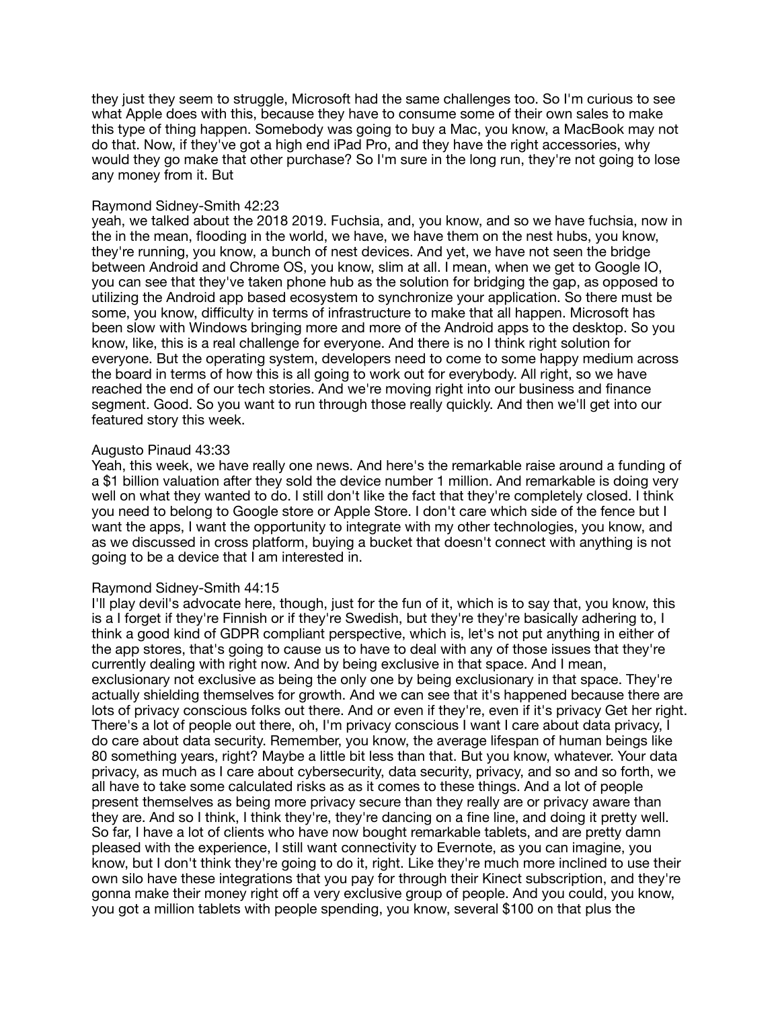they just they seem to struggle, Microsoft had the same challenges too. So I'm curious to see what Apple does with this, because they have to consume some of their own sales to make this type of thing happen. Somebody was going to buy a Mac, you know, a MacBook may not do that. Now, if they've got a high end iPad Pro, and they have the right accessories, why would they go make that other purchase? So I'm sure in the long run, they're not going to lose any money from it. But

## Raymond Sidney-Smith 42:23

yeah, we talked about the 2018 2019. Fuchsia, and, you know, and so we have fuchsia, now in the in the mean, flooding in the world, we have, we have them on the nest hubs, you know, they're running, you know, a bunch of nest devices. And yet, we have not seen the bridge between Android and Chrome OS, you know, slim at all. I mean, when we get to Google IO, you can see that they've taken phone hub as the solution for bridging the gap, as opposed to utilizing the Android app based ecosystem to synchronize your application. So there must be some, you know, difficulty in terms of infrastructure to make that all happen. Microsoft has been slow with Windows bringing more and more of the Android apps to the desktop. So you know, like, this is a real challenge for everyone. And there is no I think right solution for everyone. But the operating system, developers need to come to some happy medium across the board in terms of how this is all going to work out for everybody. All right, so we have reached the end of our tech stories. And we're moving right into our business and finance segment. Good. So you want to run through those really quickly. And then we'll get into our featured story this week.

### Augusto Pinaud 43:33

Yeah, this week, we have really one news. And here's the remarkable raise around a funding of a \$1 billion valuation after they sold the device number 1 million. And remarkable is doing very well on what they wanted to do. I still don't like the fact that they're completely closed. I think you need to belong to Google store or Apple Store. I don't care which side of the fence but I want the apps, I want the opportunity to integrate with my other technologies, you know, and as we discussed in cross platform, buying a bucket that doesn't connect with anything is not going to be a device that I am interested in.

#### Raymond Sidney-Smith 44:15

I'll play devil's advocate here, though, just for the fun of it, which is to say that, you know, this is a I forget if they're Finnish or if they're Swedish, but they're they're basically adhering to, I think a good kind of GDPR compliant perspective, which is, let's not put anything in either of the app stores, that's going to cause us to have to deal with any of those issues that they're currently dealing with right now. And by being exclusive in that space. And I mean, exclusionary not exclusive as being the only one by being exclusionary in that space. They're actually shielding themselves for growth. And we can see that it's happened because there are lots of privacy conscious folks out there. And or even if they're, even if it's privacy Get her right. There's a lot of people out there, oh, I'm privacy conscious I want I care about data privacy, I do care about data security. Remember, you know, the average lifespan of human beings like 80 something years, right? Maybe a little bit less than that. But you know, whatever. Your data privacy, as much as I care about cybersecurity, data security, privacy, and so and so forth, we all have to take some calculated risks as as it comes to these things. And a lot of people present themselves as being more privacy secure than they really are or privacy aware than they are. And so I think, I think they're, they're dancing on a fine line, and doing it pretty well. So far, I have a lot of clients who have now bought remarkable tablets, and are pretty damn pleased with the experience, I still want connectivity to Evernote, as you can imagine, you know, but I don't think they're going to do it, right. Like they're much more inclined to use their own silo have these integrations that you pay for through their Kinect subscription, and they're gonna make their money right off a very exclusive group of people. And you could, you know, you got a million tablets with people spending, you know, several \$100 on that plus the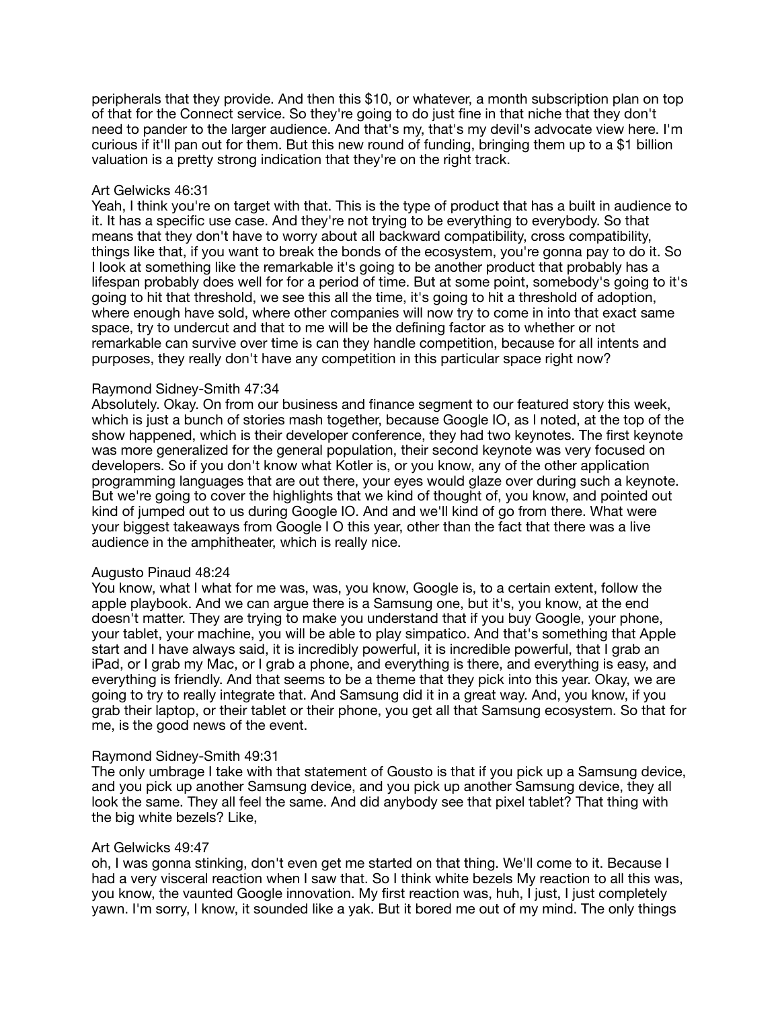peripherals that they provide. And then this \$10, or whatever, a month subscription plan on top of that for the Connect service. So they're going to do just fine in that niche that they don't need to pander to the larger audience. And that's my, that's my devil's advocate view here. I'm curious if it'll pan out for them. But this new round of funding, bringing them up to a \$1 billion valuation is a pretty strong indication that they're on the right track.

### Art Gelwicks 46:31

Yeah, I think you're on target with that. This is the type of product that has a built in audience to it. It has a specific use case. And they're not trying to be everything to everybody. So that means that they don't have to worry about all backward compatibility, cross compatibility, things like that, if you want to break the bonds of the ecosystem, you're gonna pay to do it. So I look at something like the remarkable it's going to be another product that probably has a lifespan probably does well for for a period of time. But at some point, somebody's going to it's going to hit that threshold, we see this all the time, it's going to hit a threshold of adoption, where enough have sold, where other companies will now try to come in into that exact same space, try to undercut and that to me will be the defining factor as to whether or not remarkable can survive over time is can they handle competition, because for all intents and purposes, they really don't have any competition in this particular space right now?

### Raymond Sidney-Smith 47:34

Absolutely. Okay. On from our business and finance segment to our featured story this week, which is just a bunch of stories mash together, because Google IO, as I noted, at the top of the show happened, which is their developer conference, they had two keynotes. The first keynote was more generalized for the general population, their second keynote was very focused on developers. So if you don't know what Kotler is, or you know, any of the other application programming languages that are out there, your eyes would glaze over during such a keynote. But we're going to cover the highlights that we kind of thought of, you know, and pointed out kind of jumped out to us during Google IO. And and we'll kind of go from there. What were your biggest takeaways from Google I O this year, other than the fact that there was a live audience in the amphitheater, which is really nice.

#### Augusto Pinaud 48:24

You know, what I what for me was, was, you know, Google is, to a certain extent, follow the apple playbook. And we can argue there is a Samsung one, but it's, you know, at the end doesn't matter. They are trying to make you understand that if you buy Google, your phone, your tablet, your machine, you will be able to play simpatico. And that's something that Apple start and I have always said, it is incredibly powerful, it is incredible powerful, that I grab an iPad, or I grab my Mac, or I grab a phone, and everything is there, and everything is easy, and everything is friendly. And that seems to be a theme that they pick into this year. Okay, we are going to try to really integrate that. And Samsung did it in a great way. And, you know, if you grab their laptop, or their tablet or their phone, you get all that Samsung ecosystem. So that for me, is the good news of the event.

#### Raymond Sidney-Smith 49:31

The only umbrage I take with that statement of Gousto is that if you pick up a Samsung device, and you pick up another Samsung device, and you pick up another Samsung device, they all look the same. They all feel the same. And did anybody see that pixel tablet? That thing with the big white bezels? Like,

### Art Gelwicks 49:47

oh, I was gonna stinking, don't even get me started on that thing. We'll come to it. Because I had a very visceral reaction when I saw that. So I think white bezels My reaction to all this was, you know, the vaunted Google innovation. My first reaction was, huh, I just, I just completely yawn. I'm sorry, I know, it sounded like a yak. But it bored me out of my mind. The only things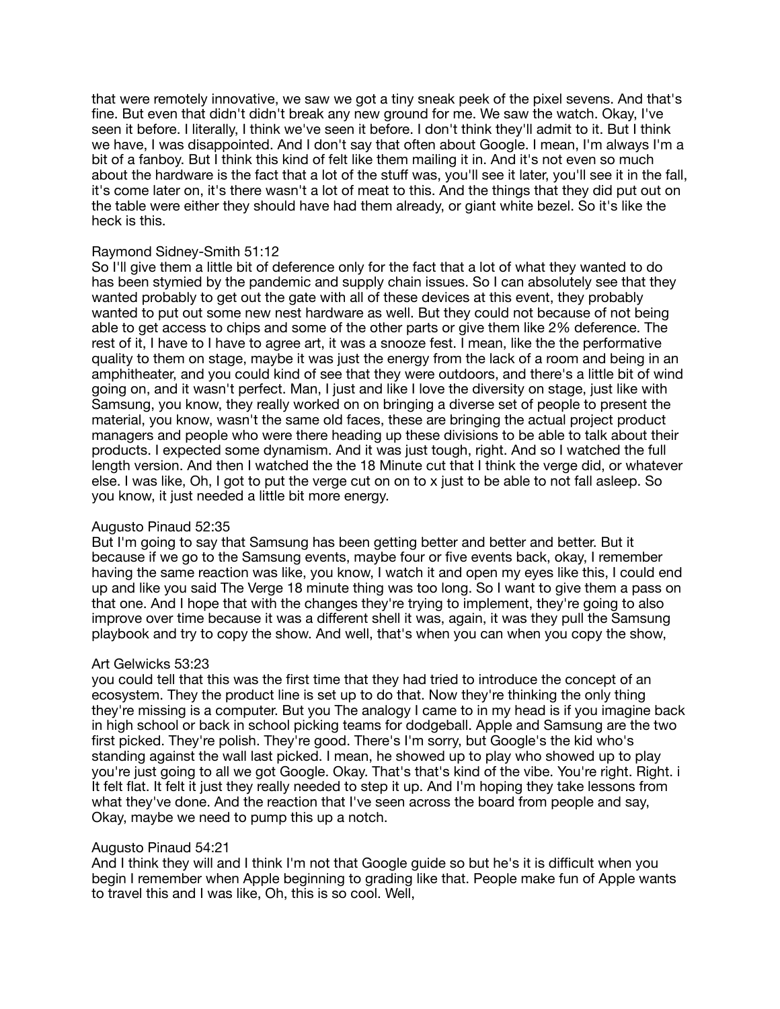that were remotely innovative, we saw we got a tiny sneak peek of the pixel sevens. And that's fine. But even that didn't didn't break any new ground for me. We saw the watch. Okay, I've seen it before. I literally, I think we've seen it before. I don't think they'll admit to it. But I think we have, I was disappointed. And I don't say that often about Google. I mean, I'm always I'm a bit of a fanboy. But I think this kind of felt like them mailing it in. And it's not even so much about the hardware is the fact that a lot of the stuff was, you'll see it later, you'll see it in the fall, it's come later on, it's there wasn't a lot of meat to this. And the things that they did put out on the table were either they should have had them already, or giant white bezel. So it's like the heck is this.

# Raymond Sidney-Smith 51:12

So I'll give them a little bit of deference only for the fact that a lot of what they wanted to do has been stymied by the pandemic and supply chain issues. So I can absolutely see that they wanted probably to get out the gate with all of these devices at this event, they probably wanted to put out some new nest hardware as well. But they could not because of not being able to get access to chips and some of the other parts or give them like 2% deference. The rest of it, I have to I have to agree art, it was a snooze fest. I mean, like the the performative quality to them on stage, maybe it was just the energy from the lack of a room and being in an amphitheater, and you could kind of see that they were outdoors, and there's a little bit of wind going on, and it wasn't perfect. Man, I just and like I love the diversity on stage, just like with Samsung, you know, they really worked on on bringing a diverse set of people to present the material, you know, wasn't the same old faces, these are bringing the actual project product managers and people who were there heading up these divisions to be able to talk about their products. I expected some dynamism. And it was just tough, right. And so I watched the full length version. And then I watched the the 18 Minute cut that I think the verge did, or whatever else. I was like, Oh, I got to put the verge cut on on to x just to be able to not fall asleep. So you know, it just needed a little bit more energy.

# Augusto Pinaud 52:35

But I'm going to say that Samsung has been getting better and better and better. But it because if we go to the Samsung events, maybe four or five events back, okay, I remember having the same reaction was like, you know, I watch it and open my eyes like this, I could end up and like you said The Verge 18 minute thing was too long. So I want to give them a pass on that one. And I hope that with the changes they're trying to implement, they're going to also improve over time because it was a different shell it was, again, it was they pull the Samsung playbook and try to copy the show. And well, that's when you can when you copy the show,

#### Art Gelwicks 53:23

you could tell that this was the first time that they had tried to introduce the concept of an ecosystem. They the product line is set up to do that. Now they're thinking the only thing they're missing is a computer. But you The analogy I came to in my head is if you imagine back in high school or back in school picking teams for dodgeball. Apple and Samsung are the two first picked. They're polish. They're good. There's I'm sorry, but Google's the kid who's standing against the wall last picked. I mean, he showed up to play who showed up to play you're just going to all we got Google. Okay. That's that's kind of the vibe. You're right. Right. i It felt flat. It felt it just they really needed to step it up. And I'm hoping they take lessons from what they've done. And the reaction that I've seen across the board from people and say, Okay, maybe we need to pump this up a notch.

### Augusto Pinaud 54:21

And I think they will and I think I'm not that Google guide so but he's it is difficult when you begin I remember when Apple beginning to grading like that. People make fun of Apple wants to travel this and I was like, Oh, this is so cool. Well,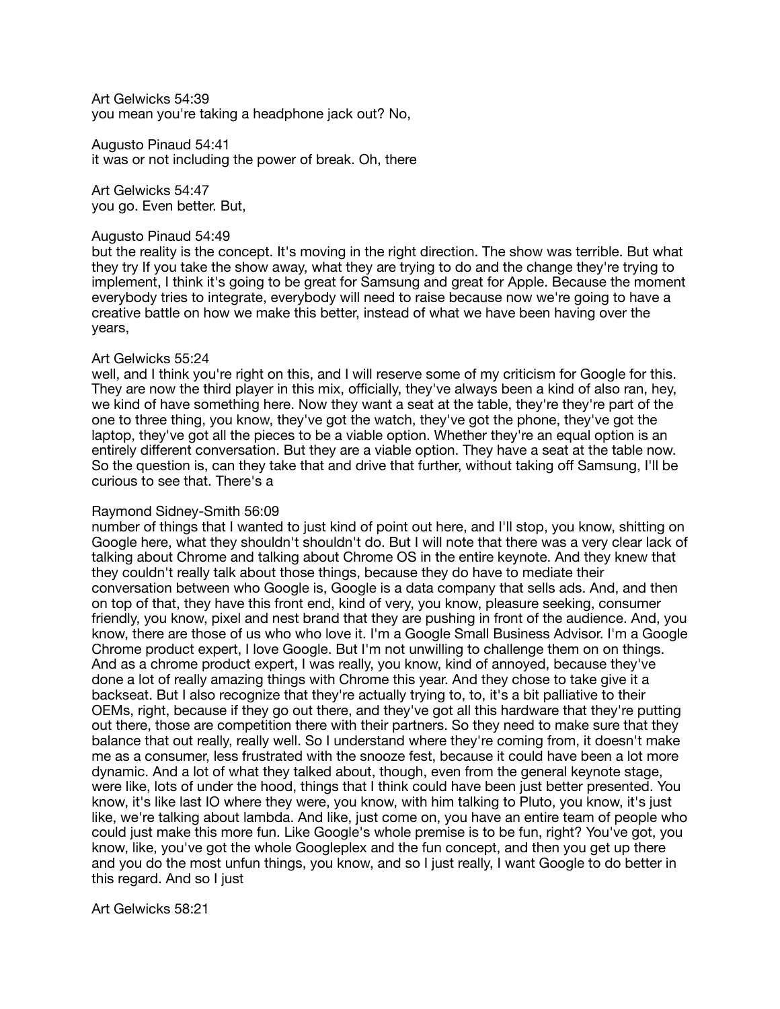Art Gelwicks 54:39 you mean you're taking a headphone jack out? No,

Augusto Pinaud 54:41 it was or not including the power of break. Oh, there

Art Gelwicks 54:47 you go. Even better. But,

### Augusto Pinaud 54:49

but the reality is the concept. It's moving in the right direction. The show was terrible. But what they try If you take the show away, what they are trying to do and the change they're trying to implement, I think it's going to be great for Samsung and great for Apple. Because the moment everybody tries to integrate, everybody will need to raise because now we're going to have a creative battle on how we make this better, instead of what we have been having over the years,

# Art Gelwicks 55:24

well, and I think you're right on this, and I will reserve some of my criticism for Google for this. They are now the third player in this mix, officially, they've always been a kind of also ran, hey, we kind of have something here. Now they want a seat at the table, they're they're part of the one to three thing, you know, they've got the watch, they've got the phone, they've got the laptop, they've got all the pieces to be a viable option. Whether they're an equal option is an entirely different conversation. But they are a viable option. They have a seat at the table now. So the question is, can they take that and drive that further, without taking off Samsung, I'll be curious to see that. There's a

# Raymond Sidney-Smith 56:09

number of things that I wanted to just kind of point out here, and I'll stop, you know, shitting on Google here, what they shouldn't shouldn't do. But I will note that there was a very clear lack of talking about Chrome and talking about Chrome OS in the entire keynote. And they knew that they couldn't really talk about those things, because they do have to mediate their conversation between who Google is, Google is a data company that sells ads. And, and then on top of that, they have this front end, kind of very, you know, pleasure seeking, consumer friendly, you know, pixel and nest brand that they are pushing in front of the audience. And, you know, there are those of us who who love it. I'm a Google Small Business Advisor. I'm a Google Chrome product expert, I love Google. But I'm not unwilling to challenge them on on things. And as a chrome product expert, I was really, you know, kind of annoyed, because they've done a lot of really amazing things with Chrome this year. And they chose to take give it a backseat. But I also recognize that they're actually trying to, to, it's a bit palliative to their OEMs, right, because if they go out there, and they've got all this hardware that they're putting out there, those are competition there with their partners. So they need to make sure that they balance that out really, really well. So I understand where they're coming from, it doesn't make me as a consumer, less frustrated with the snooze fest, because it could have been a lot more dynamic. And a lot of what they talked about, though, even from the general keynote stage, were like, lots of under the hood, things that I think could have been just better presented. You know, it's like last IO where they were, you know, with him talking to Pluto, you know, it's just like, we're talking about lambda. And like, just come on, you have an entire team of people who could just make this more fun. Like Google's whole premise is to be fun, right? You've got, you know, like, you've got the whole Googleplex and the fun concept, and then you get up there and you do the most unfun things, you know, and so I just really, I want Google to do better in this regard. And so I just

Art Gelwicks 58:21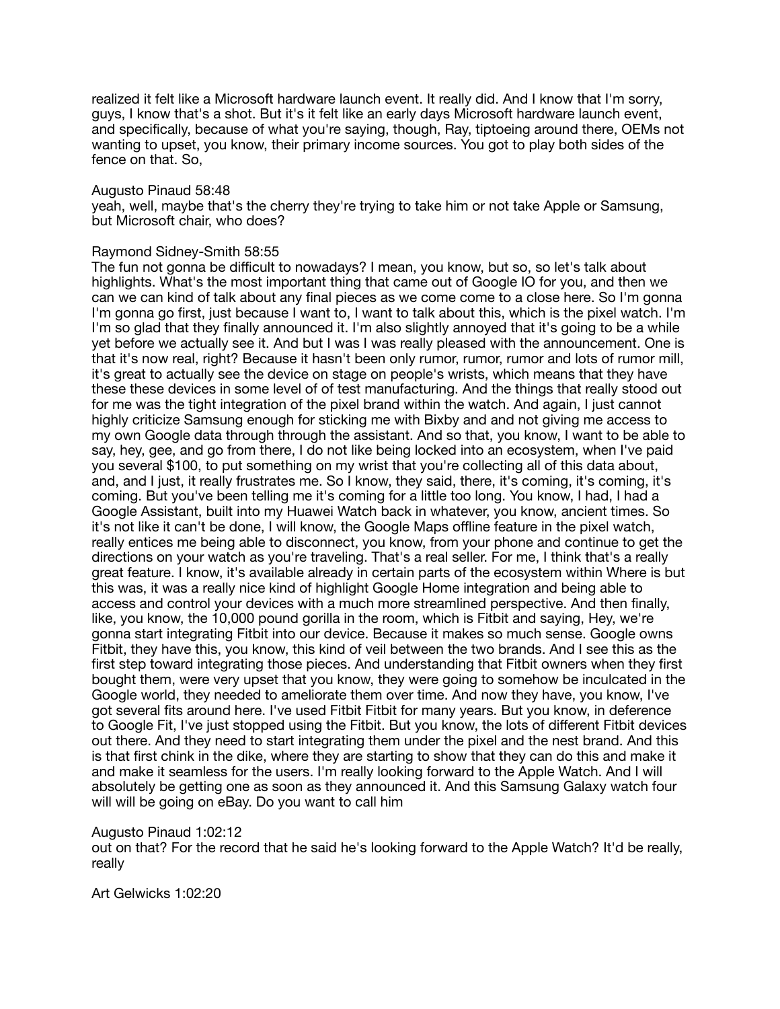realized it felt like a Microsoft hardware launch event. It really did. And I know that I'm sorry, guys, I know that's a shot. But it's it felt like an early days Microsoft hardware launch event, and specifically, because of what you're saying, though, Ray, tiptoeing around there, OEMs not wanting to upset, you know, their primary income sources. You got to play both sides of the fence on that. So,

#### Augusto Pinaud 58:48

yeah, well, maybe that's the cherry they're trying to take him or not take Apple or Samsung, but Microsoft chair, who does?

#### Raymond Sidney-Smith 58:55

The fun not gonna be difficult to nowadays? I mean, you know, but so, so let's talk about highlights. What's the most important thing that came out of Google IO for you, and then we can we can kind of talk about any final pieces as we come come to a close here. So I'm gonna I'm gonna go first, just because I want to, I want to talk about this, which is the pixel watch. I'm I'm so glad that they finally announced it. I'm also slightly annoyed that it's going to be a while yet before we actually see it. And but I was I was really pleased with the announcement. One is that it's now real, right? Because it hasn't been only rumor, rumor, rumor and lots of rumor mill, it's great to actually see the device on stage on people's wrists, which means that they have these these devices in some level of of test manufacturing. And the things that really stood out for me was the tight integration of the pixel brand within the watch. And again, I just cannot highly criticize Samsung enough for sticking me with Bixby and and not giving me access to my own Google data through through the assistant. And so that, you know, I want to be able to say, hey, gee, and go from there, I do not like being locked into an ecosystem, when I've paid you several \$100, to put something on my wrist that you're collecting all of this data about, and, and I just, it really frustrates me. So I know, they said, there, it's coming, it's coming, it's coming. But you've been telling me it's coming for a little too long. You know, I had, I had a Google Assistant, built into my Huawei Watch back in whatever, you know, ancient times. So it's not like it can't be done, I will know, the Google Maps offline feature in the pixel watch, really entices me being able to disconnect, you know, from your phone and continue to get the directions on your watch as you're traveling. That's a real seller. For me, I think that's a really great feature. I know, it's available already in certain parts of the ecosystem within Where is but this was, it was a really nice kind of highlight Google Home integration and being able to access and control your devices with a much more streamlined perspective. And then finally, like, you know, the 10,000 pound gorilla in the room, which is Fitbit and saying, Hey, we're gonna start integrating Fitbit into our device. Because it makes so much sense. Google owns Fitbit, they have this, you know, this kind of veil between the two brands. And I see this as the first step toward integrating those pieces. And understanding that Fitbit owners when they first bought them, were very upset that you know, they were going to somehow be inculcated in the Google world, they needed to ameliorate them over time. And now they have, you know, I've got several fits around here. I've used Fitbit Fitbit for many years. But you know, in deference to Google Fit, I've just stopped using the Fitbit. But you know, the lots of different Fitbit devices out there. And they need to start integrating them under the pixel and the nest brand. And this is that first chink in the dike, where they are starting to show that they can do this and make it and make it seamless for the users. I'm really looking forward to the Apple Watch. And I will absolutely be getting one as soon as they announced it. And this Samsung Galaxy watch four will will be going on eBay. Do you want to call him

#### Augusto Pinaud 1:02:12

out on that? For the record that he said he's looking forward to the Apple Watch? It'd be really, really

Art Gelwicks 1:02:20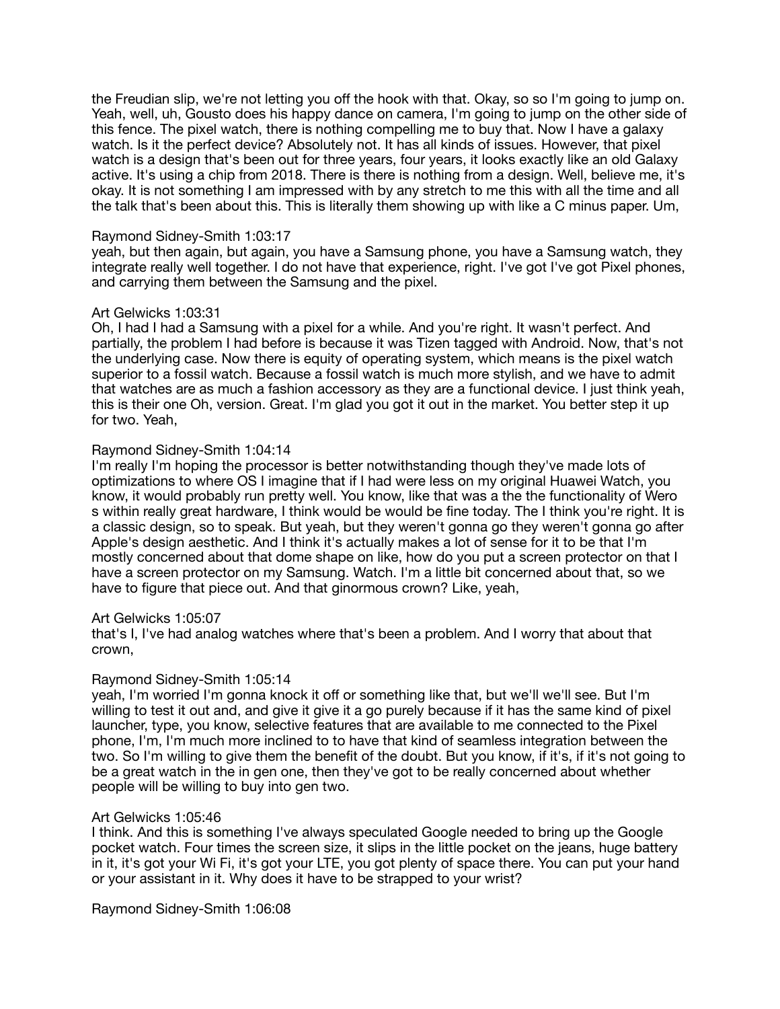the Freudian slip, we're not letting you off the hook with that. Okay, so so I'm going to jump on. Yeah, well, uh, Gousto does his happy dance on camera, I'm going to jump on the other side of this fence. The pixel watch, there is nothing compelling me to buy that. Now I have a galaxy watch. Is it the perfect device? Absolutely not. It has all kinds of issues. However, that pixel watch is a design that's been out for three years, four years, it looks exactly like an old Galaxy active. It's using a chip from 2018. There is there is nothing from a design. Well, believe me, it's okay. It is not something I am impressed with by any stretch to me this with all the time and all the talk that's been about this. This is literally them showing up with like a C minus paper. Um,

## Raymond Sidney-Smith 1:03:17

yeah, but then again, but again, you have a Samsung phone, you have a Samsung watch, they integrate really well together. I do not have that experience, right. I've got I've got Pixel phones, and carrying them between the Samsung and the pixel.

### Art Gelwicks 1:03:31

Oh, I had I had a Samsung with a pixel for a while. And you're right. It wasn't perfect. And partially, the problem I had before is because it was Tizen tagged with Android. Now, that's not the underlying case. Now there is equity of operating system, which means is the pixel watch superior to a fossil watch. Because a fossil watch is much more stylish, and we have to admit that watches are as much a fashion accessory as they are a functional device. I just think yeah, this is their one Oh, version. Great. I'm glad you got it out in the market. You better step it up for two. Yeah,

### Raymond Sidney-Smith 1:04:14

I'm really I'm hoping the processor is better notwithstanding though they've made lots of optimizations to where OS I imagine that if I had were less on my original Huawei Watch, you know, it would probably run pretty well. You know, like that was a the the functionality of Wero s within really great hardware, I think would be would be fine today. The I think you're right. It is a classic design, so to speak. But yeah, but they weren't gonna go they weren't gonna go after Apple's design aesthetic. And I think it's actually makes a lot of sense for it to be that I'm mostly concerned about that dome shape on like, how do you put a screen protector on that I have a screen protector on my Samsung. Watch. I'm a little bit concerned about that, so we have to figure that piece out. And that ginormous crown? Like, yeah,

# Art Gelwicks 1:05:07

that's I, I've had analog watches where that's been a problem. And I worry that about that crown,

#### Raymond Sidney-Smith 1:05:14

yeah, I'm worried I'm gonna knock it off or something like that, but we'll we'll see. But I'm willing to test it out and, and give it give it a go purely because if it has the same kind of pixel launcher, type, you know, selective features that are available to me connected to the Pixel phone, I'm, I'm much more inclined to to have that kind of seamless integration between the two. So I'm willing to give them the benefit of the doubt. But you know, if it's, if it's not going to be a great watch in the in gen one, then they've got to be really concerned about whether people will be willing to buy into gen two.

#### Art Gelwicks 1:05:46

I think. And this is something I've always speculated Google needed to bring up the Google pocket watch. Four times the screen size, it slips in the little pocket on the jeans, huge battery in it, it's got your Wi Fi, it's got your LTE, you got plenty of space there. You can put your hand or your assistant in it. Why does it have to be strapped to your wrist?

Raymond Sidney-Smith 1:06:08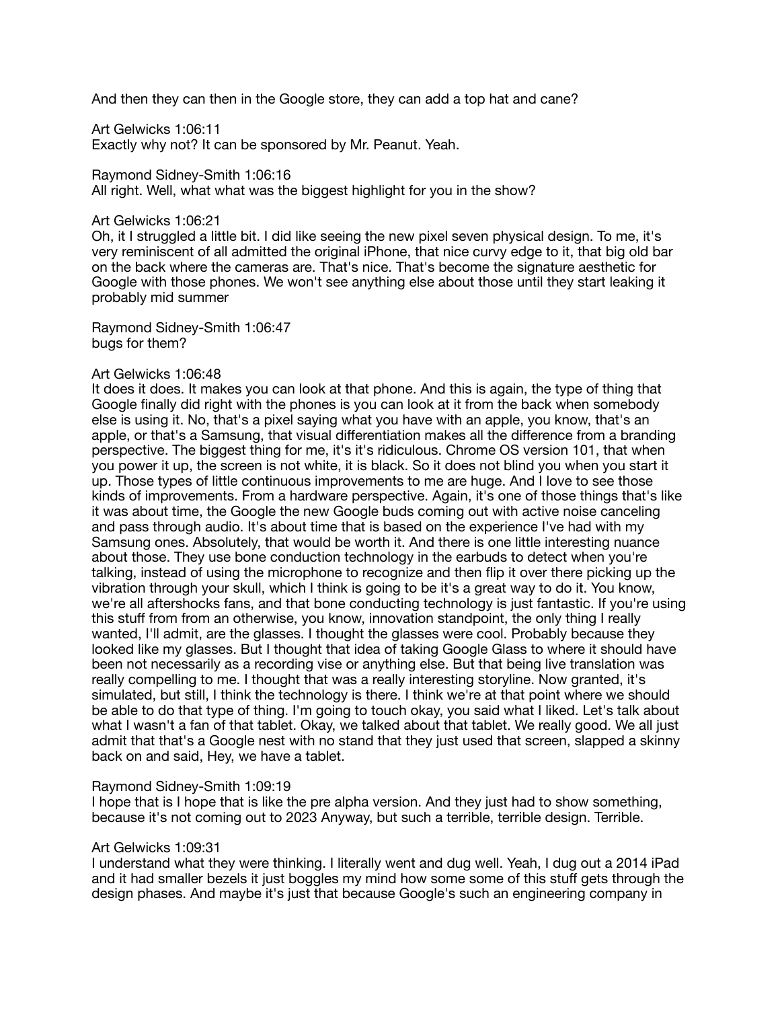And then they can then in the Google store, they can add a top hat and cane?

Art Gelwicks 1:06:11 Exactly why not? It can be sponsored by Mr. Peanut. Yeah.

Raymond Sidney-Smith 1:06:16 All right. Well, what what was the biggest highlight for you in the show?

#### Art Gelwicks 1:06:21

Oh, it I struggled a little bit. I did like seeing the new pixel seven physical design. To me, it's very reminiscent of all admitted the original iPhone, that nice curvy edge to it, that big old bar on the back where the cameras are. That's nice. That's become the signature aesthetic for Google with those phones. We won't see anything else about those until they start leaking it probably mid summer

Raymond Sidney-Smith 1:06:47 bugs for them?

#### Art Gelwicks 1:06:48

It does it does. It makes you can look at that phone. And this is again, the type of thing that Google finally did right with the phones is you can look at it from the back when somebody else is using it. No, that's a pixel saying what you have with an apple, you know, that's an apple, or that's a Samsung, that visual differentiation makes all the difference from a branding perspective. The biggest thing for me, it's it's ridiculous. Chrome OS version 101, that when you power it up, the screen is not white, it is black. So it does not blind you when you start it up. Those types of little continuous improvements to me are huge. And I love to see those kinds of improvements. From a hardware perspective. Again, it's one of those things that's like it was about time, the Google the new Google buds coming out with active noise canceling and pass through audio. It's about time that is based on the experience I've had with my Samsung ones. Absolutely, that would be worth it. And there is one little interesting nuance about those. They use bone conduction technology in the earbuds to detect when you're talking, instead of using the microphone to recognize and then flip it over there picking up the vibration through your skull, which I think is going to be it's a great way to do it. You know, we're all aftershocks fans, and that bone conducting technology is just fantastic. If you're using this stuff from from an otherwise, you know, innovation standpoint, the only thing I really wanted, I'll admit, are the glasses. I thought the glasses were cool. Probably because they looked like my glasses. But I thought that idea of taking Google Glass to where it should have been not necessarily as a recording vise or anything else. But that being live translation was really compelling to me. I thought that was a really interesting storyline. Now granted, it's simulated, but still, I think the technology is there. I think we're at that point where we should be able to do that type of thing. I'm going to touch okay, you said what I liked. Let's talk about what I wasn't a fan of that tablet. Okay, we talked about that tablet. We really good. We all just admit that that's a Google nest with no stand that they just used that screen, slapped a skinny back on and said, Hey, we have a tablet.

# Raymond Sidney-Smith 1:09:19

I hope that is I hope that is like the pre alpha version. And they just had to show something, because it's not coming out to 2023 Anyway, but such a terrible, terrible design. Terrible.

# Art Gelwicks 1:09:31

I understand what they were thinking. I literally went and dug well. Yeah, I dug out a 2014 iPad and it had smaller bezels it just boggles my mind how some some of this stuff gets through the design phases. And maybe it's just that because Google's such an engineering company in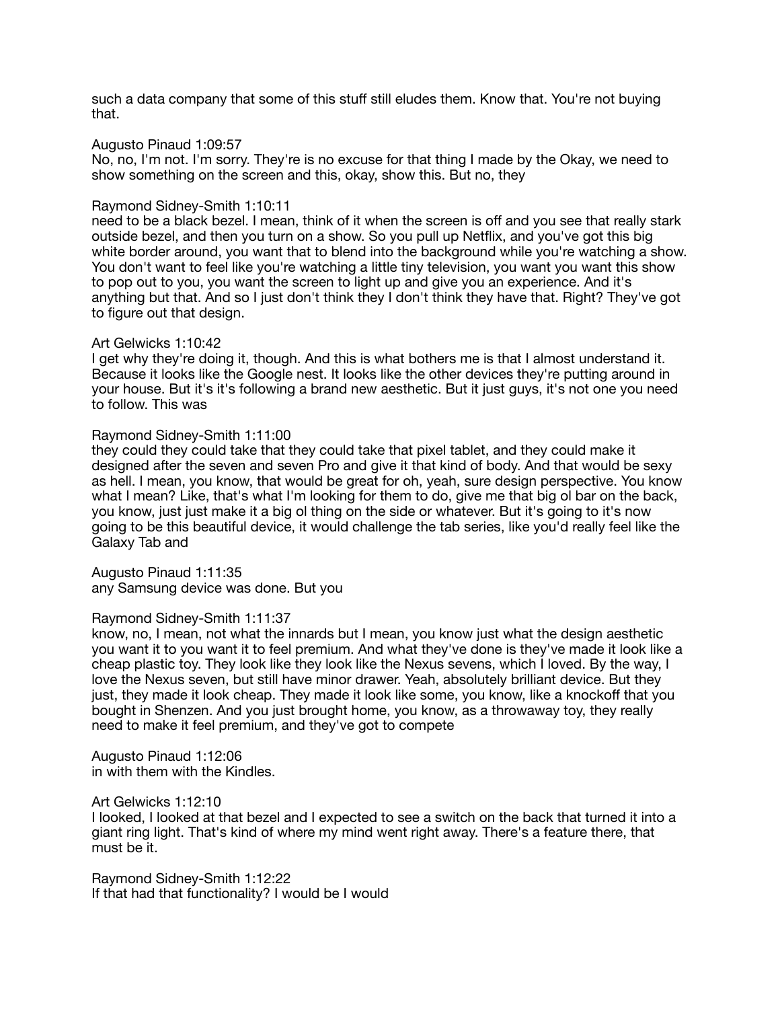such a data company that some of this stuff still eludes them. Know that. You're not buying that.

### Augusto Pinaud 1:09:57

No, no, I'm not. I'm sorry. They're is no excuse for that thing I made by the Okay, we need to show something on the screen and this, okay, show this. But no, they

#### Raymond Sidney-Smith 1:10:11

need to be a black bezel. I mean, think of it when the screen is off and you see that really stark outside bezel, and then you turn on a show. So you pull up Netflix, and you've got this big white border around, you want that to blend into the background while you're watching a show. You don't want to feel like you're watching a little tiny television, you want you want this show to pop out to you, you want the screen to light up and give you an experience. And it's anything but that. And so I just don't think they I don't think they have that. Right? They've got to figure out that design.

### Art Gelwicks 1:10:42

I get why they're doing it, though. And this is what bothers me is that I almost understand it. Because it looks like the Google nest. It looks like the other devices they're putting around in your house. But it's it's following a brand new aesthetic. But it just guys, it's not one you need to follow. This was

### Raymond Sidney-Smith 1:11:00

they could they could take that they could take that pixel tablet, and they could make it designed after the seven and seven Pro and give it that kind of body. And that would be sexy as hell. I mean, you know, that would be great for oh, yeah, sure design perspective. You know what I mean? Like, that's what I'm looking for them to do, give me that big ol bar on the back, you know, just just make it a big ol thing on the side or whatever. But it's going to it's now going to be this beautiful device, it would challenge the tab series, like you'd really feel like the Galaxy Tab and

Augusto Pinaud 1:11:35 any Samsung device was done. But you

#### Raymond Sidney-Smith 1:11:37

know, no, I mean, not what the innards but I mean, you know just what the design aesthetic you want it to you want it to feel premium. And what they've done is they've made it look like a cheap plastic toy. They look like they look like the Nexus sevens, which I loved. By the way, I love the Nexus seven, but still have minor drawer. Yeah, absolutely brilliant device. But they just, they made it look cheap. They made it look like some, you know, like a knockoff that you bought in Shenzen. And you just brought home, you know, as a throwaway toy, they really need to make it feel premium, and they've got to compete

Augusto Pinaud 1:12:06 in with them with the Kindles.

### Art Gelwicks 1:12:10

I looked, I looked at that bezel and I expected to see a switch on the back that turned it into a giant ring light. That's kind of where my mind went right away. There's a feature there, that must be it.

Raymond Sidney-Smith 1:12:22 If that had that functionality? I would be I would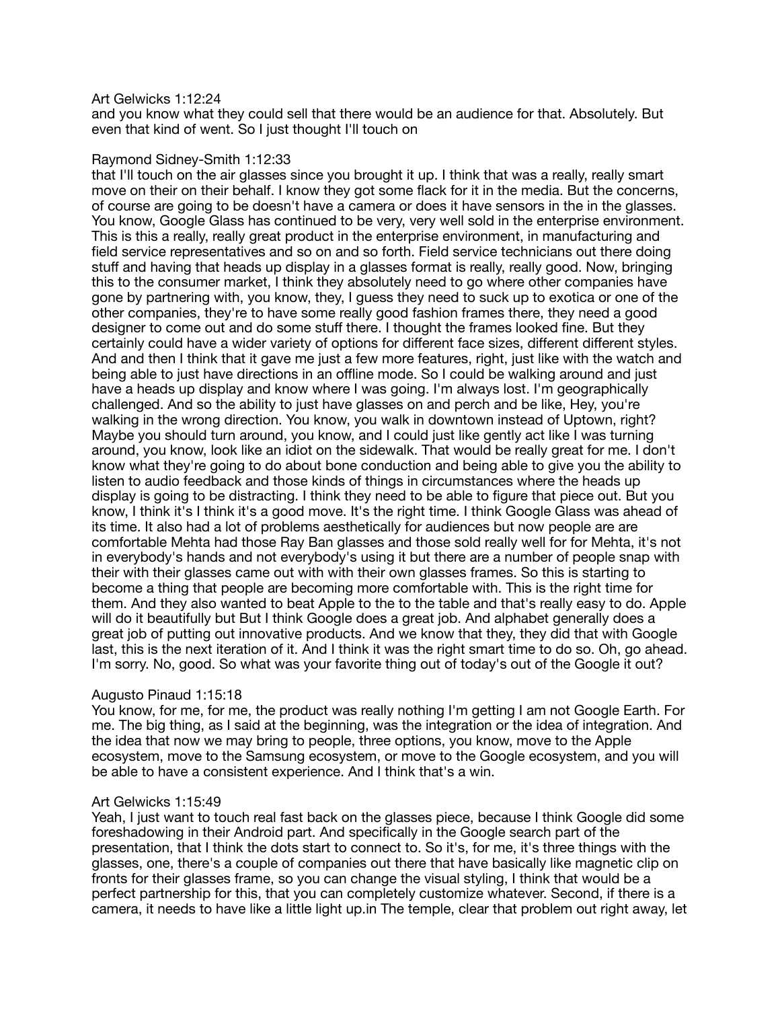### Art Gelwicks 1:12:24

and you know what they could sell that there would be an audience for that. Absolutely. But even that kind of went. So I just thought I'll touch on

### Raymond Sidney-Smith 1:12:33

that I'll touch on the air glasses since you brought it up. I think that was a really, really smart move on their on their behalf. I know they got some flack for it in the media. But the concerns, of course are going to be doesn't have a camera or does it have sensors in the in the glasses. You know, Google Glass has continued to be very, very well sold in the enterprise environment. This is this a really, really great product in the enterprise environment, in manufacturing and field service representatives and so on and so forth. Field service technicians out there doing stuff and having that heads up display in a glasses format is really, really good. Now, bringing this to the consumer market, I think they absolutely need to go where other companies have gone by partnering with, you know, they, I guess they need to suck up to exotica or one of the other companies, they're to have some really good fashion frames there, they need a good designer to come out and do some stuff there. I thought the frames looked fine. But they certainly could have a wider variety of options for different face sizes, different different styles. And and then I think that it gave me just a few more features, right, just like with the watch and being able to just have directions in an offline mode. So I could be walking around and just have a heads up display and know where I was going. I'm always lost. I'm geographically challenged. And so the ability to just have glasses on and perch and be like, Hey, you're walking in the wrong direction. You know, you walk in downtown instead of Uptown, right? Maybe you should turn around, you know, and I could just like gently act like I was turning around, you know, look like an idiot on the sidewalk. That would be really great for me. I don't know what they're going to do about bone conduction and being able to give you the ability to listen to audio feedback and those kinds of things in circumstances where the heads up display is going to be distracting. I think they need to be able to figure that piece out. But you know, I think it's I think it's a good move. It's the right time. I think Google Glass was ahead of its time. It also had a lot of problems aesthetically for audiences but now people are are comfortable Mehta had those Ray Ban glasses and those sold really well for for Mehta, it's not in everybody's hands and not everybody's using it but there are a number of people snap with their with their glasses came out with with their own glasses frames. So this is starting to become a thing that people are becoming more comfortable with. This is the right time for them. And they also wanted to beat Apple to the to the table and that's really easy to do. Apple will do it beautifully but But I think Google does a great job. And alphabet generally does a great job of putting out innovative products. And we know that they, they did that with Google last, this is the next iteration of it. And I think it was the right smart time to do so. Oh, go ahead. I'm sorry. No, good. So what was your favorite thing out of today's out of the Google it out?

# Augusto Pinaud 1:15:18

You know, for me, for me, the product was really nothing I'm getting I am not Google Earth. For me. The big thing, as I said at the beginning, was the integration or the idea of integration. And the idea that now we may bring to people, three options, you know, move to the Apple ecosystem, move to the Samsung ecosystem, or move to the Google ecosystem, and you will be able to have a consistent experience. And I think that's a win.

# Art Gelwicks 1:15:49

Yeah, I just want to touch real fast back on the glasses piece, because I think Google did some foreshadowing in their Android part. And specifically in the Google search part of the presentation, that I think the dots start to connect to. So it's, for me, it's three things with the glasses, one, there's a couple of companies out there that have basically like magnetic clip on fronts for their glasses frame, so you can change the visual styling, I think that would be a perfect partnership for this, that you can completely customize whatever. Second, if there is a camera, it needs to have like a little light up.in The temple, clear that problem out right away, let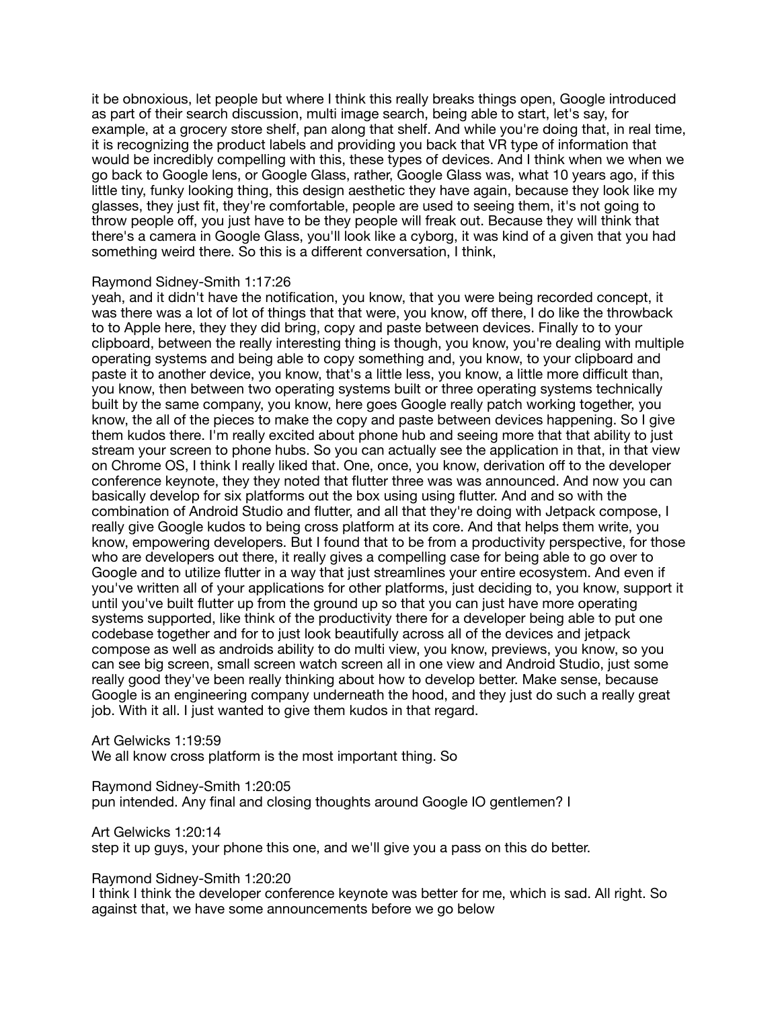it be obnoxious, let people but where I think this really breaks things open, Google introduced as part of their search discussion, multi image search, being able to start, let's say, for example, at a grocery store shelf, pan along that shelf. And while you're doing that, in real time, it is recognizing the product labels and providing you back that VR type of information that would be incredibly compelling with this, these types of devices. And I think when we when we go back to Google lens, or Google Glass, rather, Google Glass was, what 10 years ago, if this little tiny, funky looking thing, this design aesthetic they have again, because they look like my glasses, they just fit, they're comfortable, people are used to seeing them, it's not going to throw people off, you just have to be they people will freak out. Because they will think that there's a camera in Google Glass, you'll look like a cyborg, it was kind of a given that you had something weird there. So this is a different conversation, I think,

#### Raymond Sidney-Smith 1:17:26

yeah, and it didn't have the notification, you know, that you were being recorded concept, it was there was a lot of lot of things that that were, you know, off there, I do like the throwback to to Apple here, they they did bring, copy and paste between devices. Finally to to your clipboard, between the really interesting thing is though, you know, you're dealing with multiple operating systems and being able to copy something and, you know, to your clipboard and paste it to another device, you know, that's a little less, you know, a little more difficult than, you know, then between two operating systems built or three operating systems technically built by the same company, you know, here goes Google really patch working together, you know, the all of the pieces to make the copy and paste between devices happening. So I give them kudos there. I'm really excited about phone hub and seeing more that that ability to just stream your screen to phone hubs. So you can actually see the application in that, in that view on Chrome OS, I think I really liked that. One, once, you know, derivation off to the developer conference keynote, they they noted that flutter three was was announced. And now you can basically develop for six platforms out the box using using flutter. And and so with the combination of Android Studio and flutter, and all that they're doing with Jetpack compose, I really give Google kudos to being cross platform at its core. And that helps them write, you know, empowering developers. But I found that to be from a productivity perspective, for those who are developers out there, it really gives a compelling case for being able to go over to Google and to utilize flutter in a way that just streamlines your entire ecosystem. And even if you've written all of your applications for other platforms, just deciding to, you know, support it until you've built flutter up from the ground up so that you can just have more operating systems supported, like think of the productivity there for a developer being able to put one codebase together and for to just look beautifully across all of the devices and jetpack compose as well as androids ability to do multi view, you know, previews, you know, so you can see big screen, small screen watch screen all in one view and Android Studio, just some really good they've been really thinking about how to develop better. Make sense, because Google is an engineering company underneath the hood, and they just do such a really great job. With it all. I just wanted to give them kudos in that regard.

Art Gelwicks 1:19:59 We all know cross platform is the most important thing. So

Raymond Sidney-Smith 1:20:05 pun intended. Any final and closing thoughts around Google IO gentlemen? I

Art Gelwicks 1:20:14 step it up guys, your phone this one, and we'll give you a pass on this do better.

Raymond Sidney-Smith 1:20:20

I think I think the developer conference keynote was better for me, which is sad. All right. So against that, we have some announcements before we go below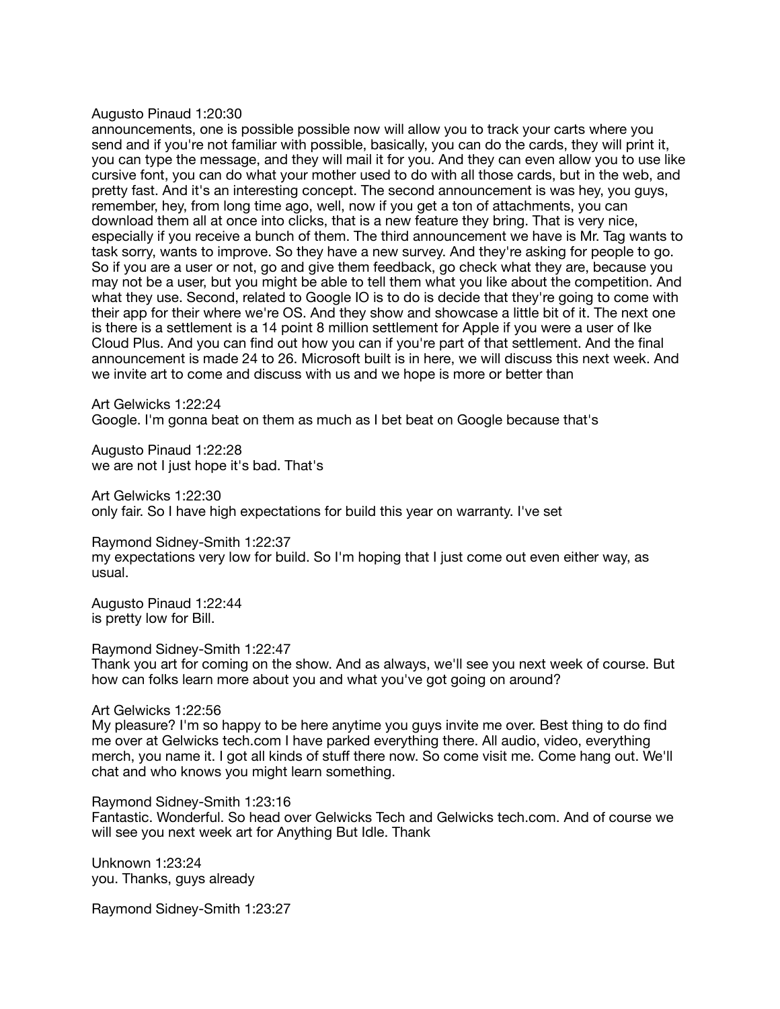#### Augusto Pinaud 1:20:30

announcements, one is possible possible now will allow you to track your carts where you send and if you're not familiar with possible, basically, you can do the cards, they will print it, you can type the message, and they will mail it for you. And they can even allow you to use like cursive font, you can do what your mother used to do with all those cards, but in the web, and pretty fast. And it's an interesting concept. The second announcement is was hey, you guys, remember, hey, from long time ago, well, now if you get a ton of attachments, you can download them all at once into clicks, that is a new feature they bring. That is very nice, especially if you receive a bunch of them. The third announcement we have is Mr. Tag wants to task sorry, wants to improve. So they have a new survey. And they're asking for people to go. So if you are a user or not, go and give them feedback, go check what they are, because you may not be a user, but you might be able to tell them what you like about the competition. And what they use. Second, related to Google IO is to do is decide that they're going to come with their app for their where we're OS. And they show and showcase a little bit of it. The next one is there is a settlement is a 14 point 8 million settlement for Apple if you were a user of Ike Cloud Plus. And you can find out how you can if you're part of that settlement. And the final announcement is made 24 to 26. Microsoft built is in here, we will discuss this next week. And we invite art to come and discuss with us and we hope is more or better than

Art Gelwicks 1:22:24 Google. I'm gonna beat on them as much as I bet beat on Google because that's

Augusto Pinaud 1:22:28 we are not I just hope it's bad. That's

Art Gelwicks 1:22:30 only fair. So I have high expectations for build this year on warranty. I've set

Raymond Sidney-Smith 1:22:37 my expectations very low for build. So I'm hoping that I just come out even either way, as usual.

Augusto Pinaud 1:22:44 is pretty low for Bill.

Raymond Sidney-Smith 1:22:47

Thank you art for coming on the show. And as always, we'll see you next week of course. But how can folks learn more about you and what you've got going on around?

#### Art Gelwicks 1:22:56

My pleasure? I'm so happy to be here anytime you guys invite me over. Best thing to do find me over at Gelwicks tech.com I have parked everything there. All audio, video, everything merch, you name it. I got all kinds of stuff there now. So come visit me. Come hang out. We'll chat and who knows you might learn something.

Raymond Sidney-Smith 1:23:16

Fantastic. Wonderful. So head over Gelwicks Tech and Gelwicks tech.com. And of course we will see you next week art for Anything But Idle. Thank

Unknown 1:23:24 you. Thanks, guys already

Raymond Sidney-Smith 1:23:27